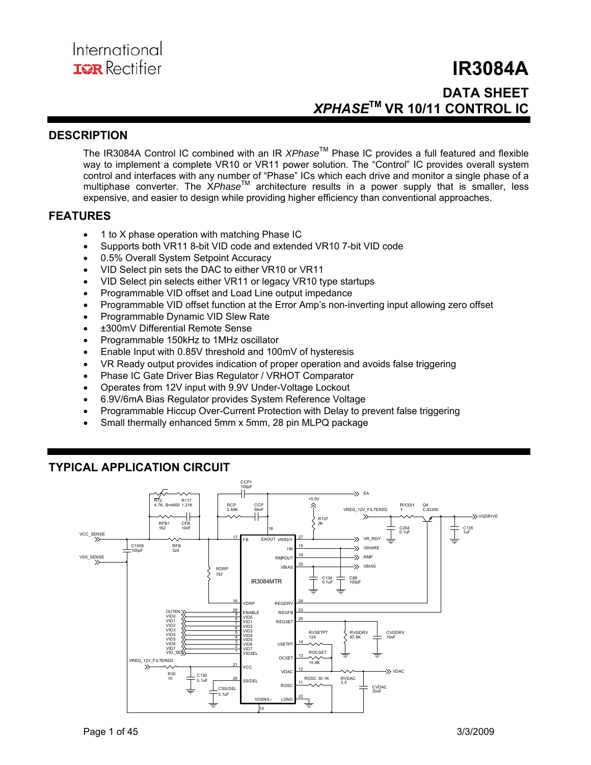## **IR3084A DATA SHEET**  *XPHASE***TM VR 10/11 CONTROL IC**

## **DESCRIPTION**

The IR3084A Control IC combined with an IR *XPhase*TM Phase IC provides a full featured and flexible way to implement a complete VR10 or VR11 power solution. The "Control" IC provides overall system control and interfaces with any number of "Phase" ICs which each drive and monitor a single phase of a multiphase converter. The XPhase<sup>™</sup> architecture results in a power supply that is smaller, less expensive, and easier to design while providing higher efficiency than conventional approaches.

## **FEATURES**

- 1 to X phase operation with matching Phase IC
- Supports both VR11 8-bit VID code and extended VR10 7-bit VID code
- 0.5% Overall System Setpoint Accuracy
- VID Select pin sets the DAC to either VR10 or VR11
- VID Select pin selects either VR11 or legacy VR10 type startups
- Programmable VID offset and Load Line output impedance
- Programmable VID offset function at the Error Amp's non-inverting input allowing zero offset
- Programmable Dynamic VID Slew Rate
- ±300mV Differential Remote Sense
- Programmable 150kHz to 1MHz oscillator
- Enable Input with 0.85V threshold and 100mV of hysteresis
- VR Ready output provides indication of proper operation and avoids false triggering
- Phase IC Gate Driver Bias Regulator / VRHOT Comparator
- Operates from 12V input with 9.9V Under-Voltage Lockout
- 6.9V/6mA Bias Regulator provides System Reference Voltage
- Programmable Hiccup Over-Current Protection with Delay to prevent false triggering
- Small thermally enhanced 5mm x 5mm, 28 pin MLPQ package

## **TYPICAL APPLICATION CIRCUIT**

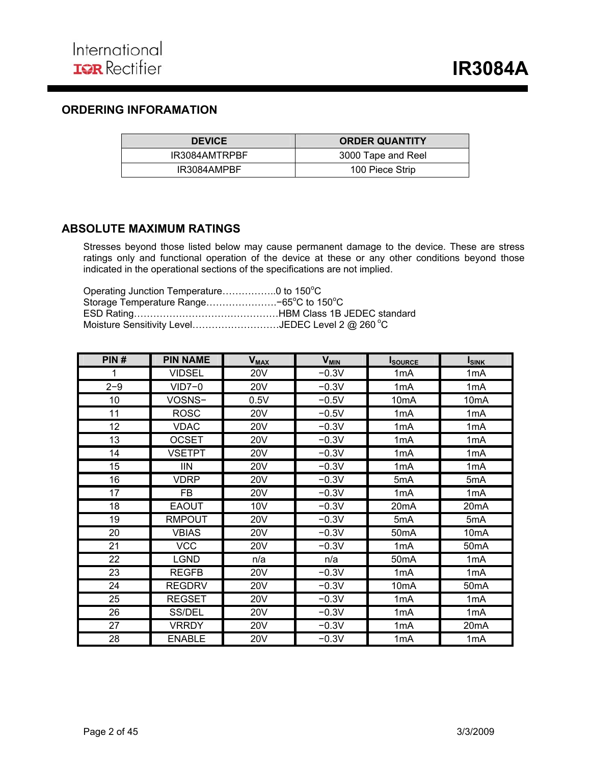## **ORDERING INFORAMATION**

| <b>DEVICE</b> | <b>ORDER QUANTITY</b> |
|---------------|-----------------------|
| IR3084AMTRPBF | 3000 Tape and Reel    |
| IR3084AMPBF   | 100 Piece Strip       |

## **ABSOLUTE MAXIMUM RATINGS**

Stresses beyond those listed below may cause permanent damage to the device. These are stress ratings only and functional operation of the device at these or any other conditions beyond those indicated in the operational sections of the specifications are not implied.

| Operating Junction Temperature0 to 150°C         |  |
|--------------------------------------------------|--|
| Storage Temperature Range-65°C to 150°C          |  |
|                                                  |  |
| Moisture Sensitivity LevelJEDEC Level 2 @ 260 °C |  |

| PIN#    | <b>PIN NAME</b> | <b>V<sub>MAX</sub></b> | <b>V<sub>MIN</sub></b> | <b>I</b> source   | <b>I</b> <sub>SINK</sub> |
|---------|-----------------|------------------------|------------------------|-------------------|--------------------------|
| 1       | <b>VIDSEL</b>   | <b>20V</b>             | $-0.3V$                | 1 <sub>m</sub> A  | 1 <sub>m</sub> A         |
| $2 - 9$ | $VID7-0$        | <b>20V</b>             | $-0.3V$                | 1mA               | 1mA                      |
| 10      | VOSNS-          | 0.5V                   | $-0.5V$                | 10 <sub>m</sub> A | 10 <sub>m</sub> A        |
| 11      | <b>ROSC</b>     | <b>20V</b>             | $-0.5V$                | 1mA               | 1mA                      |
| 12      | <b>VDAC</b>     | <b>20V</b>             | $-0.3V$                | 1 <sub>m</sub> A  | 1 <sub>m</sub> A         |
| 13      | <b>OCSET</b>    | <b>20V</b>             | $-0.3V$                | 1mA               | 1mA                      |
| 14      | <b>VSETPT</b>   | <b>20V</b>             | $-0.3V$                | 1mA               | 1 <sub>m</sub> A         |
| 15      | <b>IIN</b>      | <b>20V</b>             | $-0.3V$                | 1 <sub>m</sub> A  | 1 <sub>m</sub> A         |
| 16      | <b>VDRP</b>     | <b>20V</b>             | $-0.3V$                | 5mA               | 5mA                      |
| 17      | <b>FB</b>       | <b>20V</b>             | $-0.3V$                | 1mA               | 1 <sub>m</sub> A         |
| 18      | <b>EAOUT</b>    | 10 <sub>V</sub>        | $-0.3V$                | 20 <sub>m</sub> A | 20 <sub>m</sub> A        |
| 19      | <b>RMPOUT</b>   | <b>20V</b>             | $-0.3V$                | 5mA               | 5mA                      |
| 20      | <b>VBIAS</b>    | <b>20V</b>             | $-0.3V$                | 50 <sub>m</sub> A | 10 <sub>m</sub> A        |
| 21      | <b>VCC</b>      | 20V                    | $-0.3V$                | 1 <sub>m</sub> A  | 50 <sub>m</sub> A        |
| 22      | <b>LGND</b>     | n/a                    | n/a                    | 50 <sub>m</sub> A | 1 <sub>m</sub> A         |
| 23      | <b>REGFB</b>    | <b>20V</b>             | $-0.3V$                | 1 <sub>m</sub> A  | 1 <sub>m</sub> A         |
| 24      | <b>REGDRV</b>   | <b>20V</b>             | $-0.3V$                | 10 <sub>m</sub> A | 50 <sub>m</sub> A        |
| 25      | <b>REGSET</b>   | <b>20V</b>             | $-0.3V$                | 1 <sub>m</sub> A  | 1 <sub>m</sub> A         |
| 26      | SS/DEL          | <b>20V</b>             | $-0.3V$                | 1mA               | 1mA                      |
| 27      | <b>VRRDY</b>    | <b>20V</b>             | $-0.3V$                | 1 <sub>m</sub> A  | 20 <sub>m</sub> A        |
| 28      | <b>ENABLE</b>   | <b>20V</b>             | $-0.3V$                | 1 <sub>m</sub> A  | 1 <sub>m</sub> A         |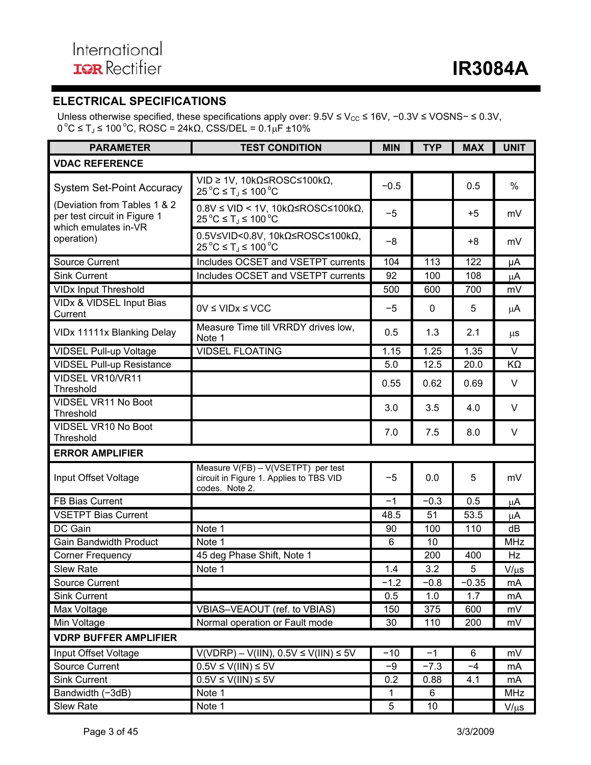## **ELECTRICAL SPECIFICATIONS**

Unless otherwise specified, these specifications apply over:  $9.5V \leq V_{CC} \leq 16V$ , -0.3V ≤ VOSNS- ≤ 0.3V,  $0 °C ≤ T<sub>J</sub> ≤ 100 °C$ , ROSC = 24kΩ, CSS/DEL =  $0.1 μF ± 10%$ 

| <b>PARAMETER</b>                                                                     | <b>TEST CONDITION</b>                                                                                                   | <b>MIN</b>   | <b>TYP</b>  | <b>MAX</b> | <b>UNIT</b>     |  |  |  |  |
|--------------------------------------------------------------------------------------|-------------------------------------------------------------------------------------------------------------------------|--------------|-------------|------------|-----------------|--|--|--|--|
| <b>VDAC REFERENCE</b>                                                                |                                                                                                                         |              |             |            |                 |  |  |  |  |
| <b>System Set-Point Accuracy</b>                                                     | $VID \ge 1V$ , $10k\Omega \le ROSC \le 100k\Omega$ ,<br>$25^{\circ}$ C ≤ T <sub>J</sub> ≤ 100 °C                        | $-0.5$       |             | 0.5        | $\%$            |  |  |  |  |
| (Deviation from Tables 1 & 2<br>per test circuit in Figure 1<br>which emulates in-VR | $0.8V \leq VID < 1V$ , 10kΩ≤ROSC≤100kΩ,<br>$25^{\circ}$ C ≤ T <sub>J</sub> ≤ 100 °C                                     | $-5$         |             | $+5$       | mV              |  |  |  |  |
| operation)                                                                           | $0.5V \leq VID < 0.8V$ , 10k $\Omega \leq ROSC \leq 100k\Omega$ ,<br>$25^{\circ}$ C ≤ T <sub>J</sub> ≤ 100 $^{\circ}$ C | -8           |             | $+8$       | mV              |  |  |  |  |
| <b>Source Current</b>                                                                | Includes OCSET and VSETPT currents                                                                                      | 104          | 113         | 122        | μA              |  |  |  |  |
| <b>Sink Current</b>                                                                  | Includes OCSET and VSETPT currents                                                                                      | 92           | 100         | 108        | $\mu$ A         |  |  |  |  |
| <b>VIDx Input Threshold</b>                                                          |                                                                                                                         | 500          | 600         | 700        | mV              |  |  |  |  |
| VIDx & VIDSEL Input Bias<br>Current                                                  | $0V \leq VIDx \leq VCC$                                                                                                 | $-5$         | $\mathbf 0$ | 5          | $\mu$ A         |  |  |  |  |
| VIDx 11111x Blanking Delay                                                           | Measure Time till VRRDY drives low,<br>Note 1                                                                           | 0.5          | 1.3         | 2.1        | $\mu$ s         |  |  |  |  |
| <b>VIDSEL Pull-up Voltage</b>                                                        | <b>VIDSEL FLOATING</b>                                                                                                  | 1.15         | 1.25        | 1.35       | $\vee$          |  |  |  |  |
| <b>VIDSEL Pull-up Resistance</b>                                                     |                                                                                                                         | 5.0          | 12.5        | 20.0       | KΩ              |  |  |  |  |
| VIDSEL VR10/VR11<br>Threshold                                                        |                                                                                                                         | 0.55         | 0.62        | 0.69       | V               |  |  |  |  |
| <b>VIDSEL VR11 No Boot</b><br>Threshold                                              |                                                                                                                         | 3.0          | 3.5         | 4.0        | V               |  |  |  |  |
| VIDSEL VR10 No Boot<br>Threshold                                                     |                                                                                                                         | 7.0          | 7.5         | 8.0        | $\vee$          |  |  |  |  |
| <b>ERROR AMPLIFIER</b>                                                               |                                                                                                                         |              |             |            |                 |  |  |  |  |
| Input Offset Voltage                                                                 | Measure V(FB) - V(VSETPT) per test<br>circuit in Figure 1. Applies to TBS VID<br>codes. Note 2.                         | $-5$         | 0.0         | 5          | mV              |  |  |  |  |
| FB Bias Current                                                                      |                                                                                                                         | $-1$         | $-0.3$      | 0.5        | μA              |  |  |  |  |
| <b>VSETPT Bias Current</b>                                                           |                                                                                                                         | 48.5         | 51          | 53.5       | $\mu$ A         |  |  |  |  |
| DC Gain                                                                              | Note 1                                                                                                                  | 90           | 100         | 110        | dB              |  |  |  |  |
| <b>Gain Bandwidth Product</b>                                                        | Note 1                                                                                                                  | 6            | 10          |            | <b>MHz</b>      |  |  |  |  |
| <b>Corner Frequency</b>                                                              | 45 deg Phase Shift, Note 1                                                                                              |              | 200         | 400        | Hz              |  |  |  |  |
| Slew Rate                                                                            | Note 1                                                                                                                  | $1.4$        | 3.2         | 5          | $V/\mu s$       |  |  |  |  |
| Source Current                                                                       |                                                                                                                         | $-1.2$       | $-0.8$      | $-0.35$    | mA              |  |  |  |  |
| <b>Sink Current</b>                                                                  |                                                                                                                         | 0.5          | 1.0         | 1.7        | mA              |  |  |  |  |
| Max Voltage                                                                          | VBIAS-VEAOUT (ref. to VBIAS)                                                                                            | 150          | 375         | 600        | $m\overline{V}$ |  |  |  |  |
| Min Voltage                                                                          | Normal operation or Fault mode                                                                                          | 30           | 110         | 200        | mV              |  |  |  |  |
| <b>VDRP BUFFER AMPLIFIER</b>                                                         |                                                                                                                         |              |             |            |                 |  |  |  |  |
| Input Offset Voltage                                                                 | $V(VDRP) - V(IIN), 0.5V \leq V(IIN) \leq 5V$                                                                            | $-10$        | $-1$        | 6          | mV              |  |  |  |  |
| Source Current                                                                       | $0.5V \le V(III) \le 5V$                                                                                                | -9           | $-7.3$      | $-4$       | mA              |  |  |  |  |
| <b>Sink Current</b>                                                                  | $0.5V \le V(HN) \le 5V$                                                                                                 | 0.2          | 0.88        | 4.1        | mA              |  |  |  |  |
| Bandwidth (-3dB)                                                                     | Note 1                                                                                                                  | $\mathbf{1}$ | 6           |            | <b>MHz</b>      |  |  |  |  |
| Slew Rate                                                                            | Note 1                                                                                                                  | 5            | 10          |            | $V/\mu s$       |  |  |  |  |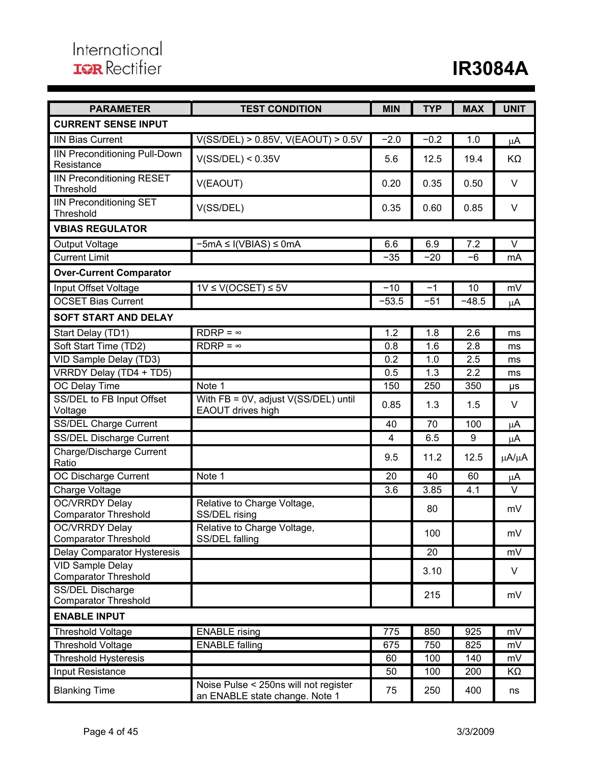| <b>PARAMETER</b>                                       | <b>TEST CONDITION</b>                                                   | <b>MIN</b>     | <b>TYP</b> | <b>MAX</b> | <b>UNIT</b> |
|--------------------------------------------------------|-------------------------------------------------------------------------|----------------|------------|------------|-------------|
| <b>CURRENT SENSE INPUT</b>                             |                                                                         |                |            |            |             |
| <b>IIN Bias Current</b>                                | V(SS/DEL) > 0.85V, V(EAOUT) > 0.5V                                      | $-2.0$         | $-0.2$     | 1.0        | μA          |
| <b>IIN Preconditioning Pull-Down</b><br>Resistance     | V(SS/DEL) < 0.35V                                                       | 5.6            | 12.5       | 19.4       | KΩ          |
| <b>IIN Preconditioning RESET</b><br>Threshold          | V(EAOUT)                                                                | 0.20           | 0.35       | 0.50       | $\vee$      |
| <b>IIN Preconditioning SET</b><br>Threshold            | V(SS/DEL)                                                               | 0.35           | 0.60       | 0.85       | $\vee$      |
| <b>VBIAS REGULATOR</b>                                 |                                                                         |                |            |            |             |
| <b>Output Voltage</b>                                  | $-5mA \leq I(VBIAS) \leq 0mA$                                           | 6.6            | 6.9        | 7.2        | $\vee$      |
| <b>Current Limit</b>                                   |                                                                         | $-35$          | $-20$      | -6         | mA          |
| <b>Over-Current Comparator</b>                         |                                                                         |                |            |            |             |
| Input Offset Voltage                                   | $1V \le V(OCSET) \le 5V$                                                | $-10$          | $-1$       | 10         | mV          |
| <b>OCSET Bias Current</b>                              |                                                                         | $-53.5$        | $-51$      | $-48.5$    | μA          |
| <b>SOFT START AND DELAY</b>                            |                                                                         |                |            |            |             |
| Start Delay (TD1)                                      | $RDRP = \infty$                                                         | 1.2            | 1.8        | 2.6        | ms          |
| Soft Start Time (TD2)                                  | $RDRP = \infty$                                                         | 0.8            | 1.6        | 2.8        | ms          |
| VID Sample Delay (TD3)                                 |                                                                         | 0.2            | 1.0        | 2.5        | ms          |
| VRRDY Delay (TD4 + TD5)                                |                                                                         | 0.5            | 1.3        | 2.2        | ms          |
| OC Delay Time                                          | Note 1                                                                  | 150            | 250        | 350        | μs          |
| SS/DEL to FB Input Offset<br>Voltage                   | With FB = 0V, adjust V(SS/DEL) until<br>EAOUT drives high               | 0.85           | 1.3        | 1.5        | $\vee$      |
| <b>SS/DEL Charge Current</b>                           |                                                                         | 40             | 70         | 100        | μA          |
| <b>SS/DEL Discharge Current</b>                        |                                                                         | $\overline{4}$ | 6.5        | 9          | μA          |
| <b>Charge/Discharge Current</b><br>Ratio               |                                                                         | 9.5            | 11.2       | 12.5       | μA/μA       |
| OC Discharge Current                                   | Note 1                                                                  | 20             | 40         | 60         | μA          |
| Charge Voltage                                         |                                                                         | 3.6            | 3.85       | 4.1        | $\vee$      |
| <b>OC/VRRDY Delay</b><br><b>Comparator Threshold</b>   | Relative to Charge Voltage,<br>SS/DEL rising                            |                | 80         |            | mV          |
| <b>OC/VRRDY Delay</b><br><b>Comparator Threshold</b>   | Relative to Charge Voltage,<br>SS/DEL falling                           |                | 100        |            | mV          |
| Delay Comparator Hysteresis                            |                                                                         |                | 20         |            | mV          |
| <b>VID Sample Delay</b><br><b>Comparator Threshold</b> |                                                                         |                | 3.10       |            | V           |
| SS/DEL Discharge<br><b>Comparator Threshold</b>        |                                                                         |                | 215        |            | mV          |
| <b>ENABLE INPUT</b>                                    |                                                                         |                |            |            |             |
| <b>Threshold Voltage</b>                               | <b>ENABLE</b> rising                                                    | 775            | 850        | 925        | mV          |
| <b>Threshold Voltage</b>                               | <b>ENABLE falling</b>                                                   | 675            | 750        | 825        | mV          |
| <b>Threshold Hysteresis</b>                            |                                                                         | 60             | 100        | 140        | mV          |
| Input Resistance                                       |                                                                         | 50             | 100        | 200        | KΩ          |
| <b>Blanking Time</b>                                   | Noise Pulse < 250ns will not register<br>an ENABLE state change. Note 1 | 75             | 250        | 400        | ns          |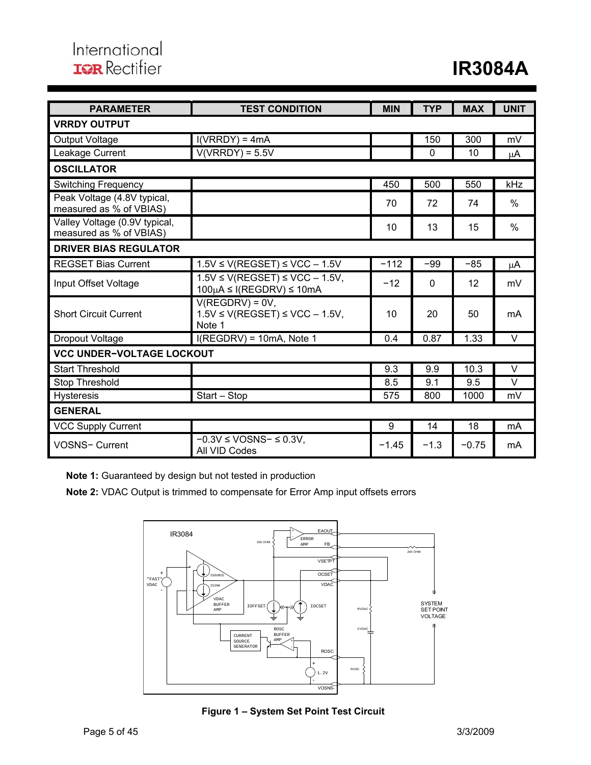| <b>PARAMETER</b>                                         | <b>TEST CONDITION</b>                                                              | <b>MIN</b> | <b>TYP</b> | <b>MAX</b> | <b>UNIT</b>   |  |  |  |  |  |  |
|----------------------------------------------------------|------------------------------------------------------------------------------------|------------|------------|------------|---------------|--|--|--|--|--|--|
| <b>VRRDY OUTPUT</b>                                      |                                                                                    |            |            |            |               |  |  |  |  |  |  |
| <b>Output Voltage</b>                                    | $I(VRRDY) = 4mA$                                                                   |            |            |            |               |  |  |  |  |  |  |
| Leakage Current                                          | $V(VRRDY) = 5.5V$                                                                  |            | $\Omega$   | 10         | uΑ            |  |  |  |  |  |  |
| <b>OSCILLATOR</b>                                        |                                                                                    |            |            |            |               |  |  |  |  |  |  |
| <b>Switching Frequency</b>                               |                                                                                    | 450        | 500        | 550        | kHz           |  |  |  |  |  |  |
| Peak Voltage (4.8V typical,<br>measured as % of VBIAS)   |                                                                                    | 70         | 72         | 74         | $\frac{0}{0}$ |  |  |  |  |  |  |
| Valley Voltage (0.9V typical,<br>measured as % of VBIAS) |                                                                                    | 10         | 13         | 15         | $\frac{0}{0}$ |  |  |  |  |  |  |
| <b>DRIVER BIAS REGULATOR</b>                             |                                                                                    |            |            |            |               |  |  |  |  |  |  |
| <b>REGSET Bias Current</b>                               | $1.5V \leq V(REGSET) \leq VCC - 1.5V$                                              | $-112$     | $-99$      | $-85$      | μA            |  |  |  |  |  |  |
| Input Offset Voltage                                     | $1.5V \leq V(REGSET) \leq VCC - 1.5V$ ,<br>$100\mu$ A $\leq$ I(REGDRV) $\leq$ 10mA | $-12$      | $\Omega$   | 12         | mV            |  |  |  |  |  |  |
| <b>Short Circuit Current</b>                             | $V(REGDRV) = 0V,$<br>$1.5V \leq V(REGSET) \leq VCC - 1.5V$ ,<br>10<br>Note 1       |            | 20         | 50         | mA            |  |  |  |  |  |  |
| Dropout Voltage                                          | $I(REGDRV) = 10mA$ , Note 1                                                        | 0.4        | 0.87       | 1.33       | V             |  |  |  |  |  |  |
| <b>VCC UNDER-VOLTAGE LOCKOUT</b>                         |                                                                                    |            |            |            |               |  |  |  |  |  |  |
| Start Threshold                                          |                                                                                    | 9.3        | 9.9        | 10.3       | V             |  |  |  |  |  |  |
| Stop Threshold                                           |                                                                                    | 8.5        | 9.1        | 9.5        | $\vee$        |  |  |  |  |  |  |
| <b>Hysteresis</b>                                        | Start - Stop                                                                       | 575        | 800        | 1000       | mV            |  |  |  |  |  |  |
| <b>GENERAL</b>                                           |                                                                                    |            |            |            |               |  |  |  |  |  |  |
| <b>VCC Supply Current</b>                                |                                                                                    | 9          | 14         | 18         | mA            |  |  |  |  |  |  |
| <b>VOSNS- Current</b>                                    | $-0.3V \leq VOSNS - \leq 0.3V$ ,<br>All VID Codes                                  | $-1.45$    | $-1.3$     | $-0.75$    | mA            |  |  |  |  |  |  |

**Note 1:** Guaranteed by design but not tested in production

**Note 2:** VDAC Output is trimmed to compensate for Error Amp input offsets errors



**Figure 1 – System Set Point Test Circuit**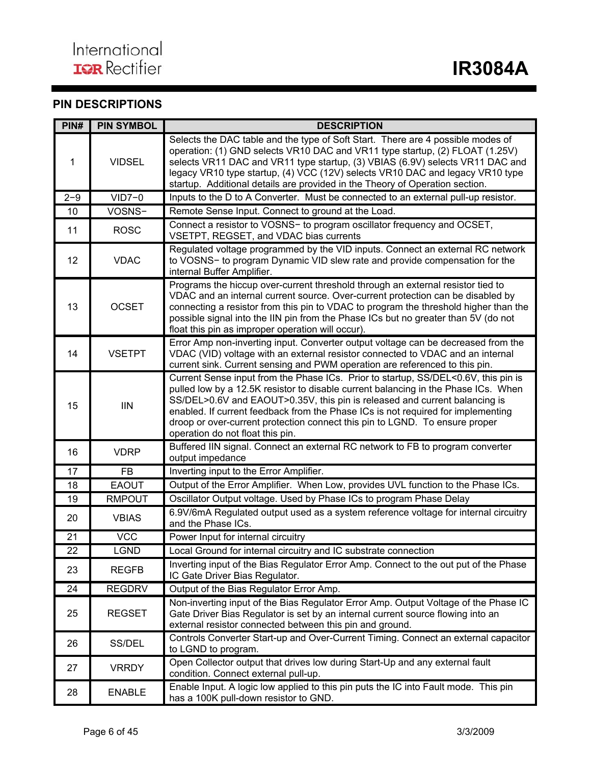## **PIN DESCRIPTIONS**

| PIN#    | <b>PIN SYMBOL</b> | <b>DESCRIPTION</b>                                                                                                                                                                                                                                                                                                                                                                                                                                            |
|---------|-------------------|---------------------------------------------------------------------------------------------------------------------------------------------------------------------------------------------------------------------------------------------------------------------------------------------------------------------------------------------------------------------------------------------------------------------------------------------------------------|
| 1       | <b>VIDSEL</b>     | Selects the DAC table and the type of Soft Start. There are 4 possible modes of<br>operation: (1) GND selects VR10 DAC and VR11 type startup, (2) FLOAT (1.25V)<br>selects VR11 DAC and VR11 type startup, (3) VBIAS (6.9V) selects VR11 DAC and<br>legacy VR10 type startup, (4) VCC (12V) selects VR10 DAC and legacy VR10 type<br>startup. Additional details are provided in the Theory of Operation section.                                             |
| $2 - 9$ | $VID7-0$          | Inputs to the D to A Converter. Must be connected to an external pull-up resistor.                                                                                                                                                                                                                                                                                                                                                                            |
| 10      | VOSNS-            | Remote Sense Input. Connect to ground at the Load.                                                                                                                                                                                                                                                                                                                                                                                                            |
| 11      | <b>ROSC</b>       | Connect a resistor to VOSNS- to program oscillator frequency and OCSET,<br>VSETPT, REGSET, and VDAC bias currents                                                                                                                                                                                                                                                                                                                                             |
| 12      | <b>VDAC</b>       | Regulated voltage programmed by the VID inputs. Connect an external RC network<br>to VOSNS- to program Dynamic VID slew rate and provide compensation for the<br>internal Buffer Amplifier.                                                                                                                                                                                                                                                                   |
| 13      | <b>OCSET</b>      | Programs the hiccup over-current threshold through an external resistor tied to<br>VDAC and an internal current source. Over-current protection can be disabled by<br>connecting a resistor from this pin to VDAC to program the threshold higher than the<br>possible signal into the IIN pin from the Phase ICs but no greater than 5V (do not<br>float this pin as improper operation will occur).                                                         |
| 14      | <b>VSETPT</b>     | Error Amp non-inverting input. Converter output voltage can be decreased from the<br>VDAC (VID) voltage with an external resistor connected to VDAC and an internal<br>current sink. Current sensing and PWM operation are referenced to this pin.                                                                                                                                                                                                            |
| 15      | <b>IIN</b>        | Current Sense input from the Phase ICs. Prior to startup, SS/DEL<0.6V, this pin is<br>pulled low by a 12.5K resistor to disable current balancing in the Phase ICs. When<br>SS/DEL>0.6V and EAOUT>0.35V, this pin is released and current balancing is<br>enabled. If current feedback from the Phase ICs is not required for implementing<br>droop or over-current protection connect this pin to LGND. To ensure proper<br>operation do not float this pin. |
| 16      | <b>VDRP</b>       | Buffered IIN signal. Connect an external RC network to FB to program converter<br>output impedance                                                                                                                                                                                                                                                                                                                                                            |
| 17      | <b>FB</b>         | Inverting input to the Error Amplifier.                                                                                                                                                                                                                                                                                                                                                                                                                       |
| 18      | <b>EAOUT</b>      | Output of the Error Amplifier. When Low, provides UVL function to the Phase ICs.                                                                                                                                                                                                                                                                                                                                                                              |
| 19      | <b>RMPOUT</b>     | Oscillator Output voltage. Used by Phase ICs to program Phase Delay                                                                                                                                                                                                                                                                                                                                                                                           |
| 20      | <b>VBIAS</b>      | 6.9V/6mA Regulated output used as a system reference voltage for internal circuitry<br>and the Phase ICs.                                                                                                                                                                                                                                                                                                                                                     |
| 21      | <b>VCC</b>        | Power Input for internal circuitry                                                                                                                                                                                                                                                                                                                                                                                                                            |
| 22      | <b>LGND</b>       | Local Ground for internal circuitry and IC substrate connection                                                                                                                                                                                                                                                                                                                                                                                               |
| 23      | <b>REGFB</b>      | Inverting input of the Bias Regulator Error Amp. Connect to the out put of the Phase<br>IC Gate Driver Bias Regulator.                                                                                                                                                                                                                                                                                                                                        |
| 24      | <b>REGDRV</b>     | Output of the Bias Regulator Error Amp.                                                                                                                                                                                                                                                                                                                                                                                                                       |
| 25      | <b>REGSET</b>     | Non-inverting input of the Bias Regulator Error Amp. Output Voltage of the Phase IC<br>Gate Driver Bias Regulator is set by an internal current source flowing into an<br>external resistor connected between this pin and ground.                                                                                                                                                                                                                            |
| 26      | SS/DEL            | Controls Converter Start-up and Over-Current Timing. Connect an external capacitor<br>to LGND to program.                                                                                                                                                                                                                                                                                                                                                     |
| 27      | <b>VRRDY</b>      | Open Collector output that drives low during Start-Up and any external fault<br>condition. Connect external pull-up.                                                                                                                                                                                                                                                                                                                                          |
| 28      | <b>ENABLE</b>     | Enable Input. A logic low applied to this pin puts the IC into Fault mode. This pin<br>has a 100K pull-down resistor to GND.                                                                                                                                                                                                                                                                                                                                  |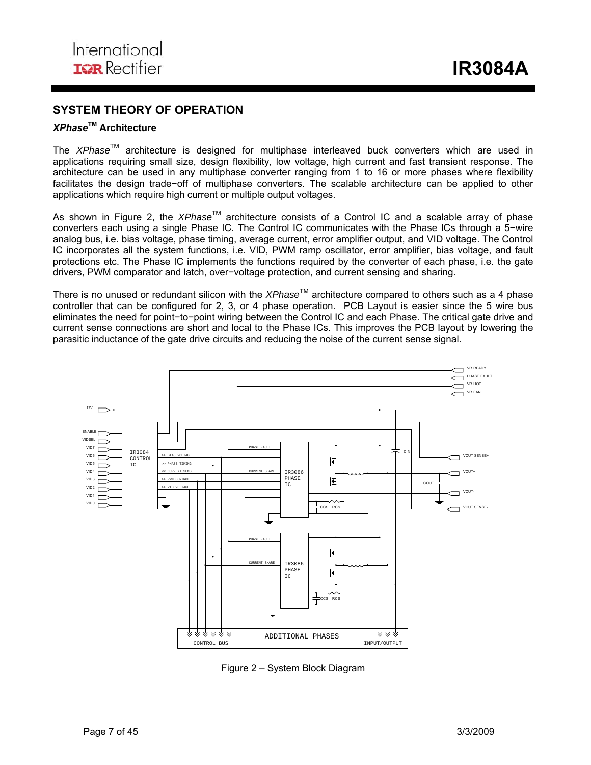## **SYSTEM THEORY OF OPERATION**

## *XPhase***TM Architecture**

The *XPhase*TM architecture is designed for multiphase interleaved buck converters which are used in applications requiring small size, design flexibility, low voltage, high current and fast transient response. The architecture can be used in any multiphase converter ranging from 1 to 16 or more phases where flexibility facilitates the design trade−off of multiphase converters. The scalable architecture can be applied to other applications which require high current or multiple output voltages.

As shown in Figure 2, the *XPhase*TM architecture consists of a Control IC and a scalable array of phase converters each using a single Phase IC. The Control IC communicates with the Phase ICs through a 5−wire analog bus, i.e. bias voltage, phase timing, average current, error amplifier output, and VID voltage. The Control IC incorporates all the system functions, i.e. VID, PWM ramp oscillator, error amplifier, bias voltage, and fault protections etc. The Phase IC implements the functions required by the converter of each phase, i.e. the gate drivers, PWM comparator and latch, over−voltage protection, and current sensing and sharing.

There is no unused or redundant silicon with the *XPhase*™ architecture compared to others such as a 4 phase controller that can be configured for 2, 3, or 4 phase operation. PCB Layout is easier since the 5 wire bus eliminates the need for point−to−point wiring between the Control IC and each Phase. The critical gate drive and current sense connections are short and local to the Phase ICs. This improves the PCB layout by lowering the parasitic inductance of the gate drive circuits and reducing the noise of the current sense signal.



Figure 2 – System Block Diagram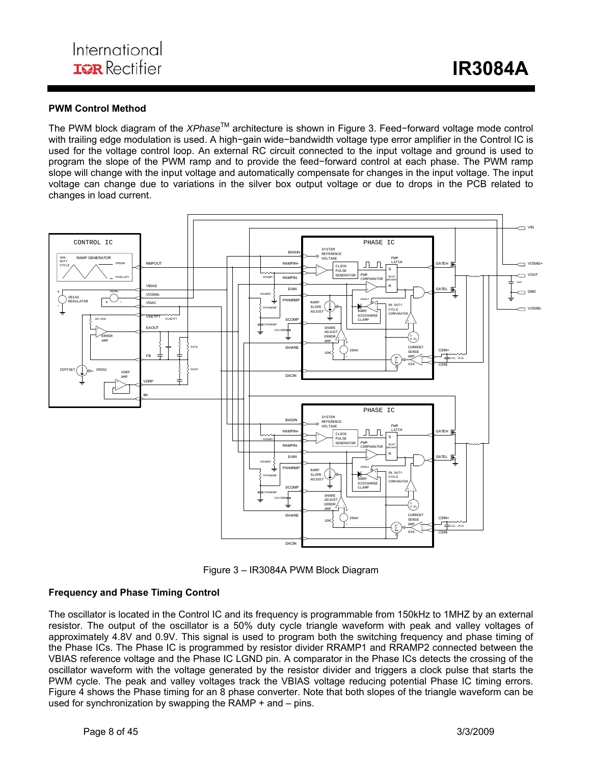#### **PWM Control Method**

The PWM block diagram of the *XPhase*TM architecture is shown in Figure 3. Feed−forward voltage mode control with trailing edge modulation is used. A high−gain wide−bandwidth voltage type error amplifier in the Control IC is used for the voltage control loop. An external RC circuit connected to the input voltage and ground is used to program the slope of the PWM ramp and to provide the feed−forward control at each phase. The PWM ramp slope will change with the input voltage and automatically compensate for changes in the input voltage. The input voltage can change due to variations in the silver box output voltage or due to drops in the PCB related to changes in load current.



Figure 3 – IR3084A PWM Block Diagram

#### **Frequency and Phase Timing Control**

The oscillator is located in the Control IC and its frequency is programmable from 150kHz to 1MHZ by an external resistor. The output of the oscillator is a 50% duty cycle triangle waveform with peak and valley voltages of approximately 4.8V and 0.9V. This signal is used to program both the switching frequency and phase timing of the Phase ICs. The Phase IC is programmed by resistor divider RRAMP1 and RRAMP2 connected between the VBIAS reference voltage and the Phase IC LGND pin. A comparator in the Phase ICs detects the crossing of the oscillator waveform with the voltage generated by the resistor divider and triggers a clock pulse that starts the PWM cycle. The peak and valley voltages track the VBIAS voltage reducing potential Phase IC timing errors. Figure 4 shows the Phase timing for an 8 phase converter. Note that both slopes of the triangle waveform can be used for synchronization by swapping the RAMP + and – pins.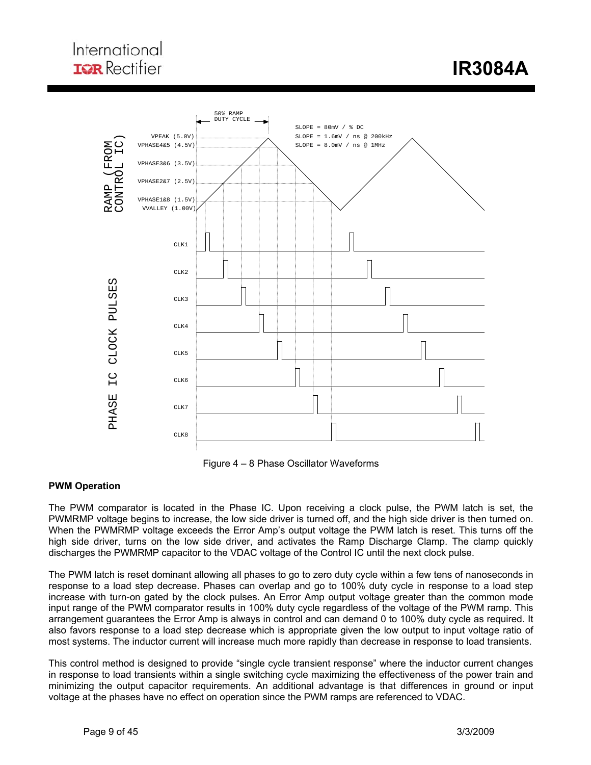## International **IGR** Rectifier

 **IR3084A** 



Figure 4 – 8 Phase Oscillator Waveforms

#### **PWM Operation**

The PWM comparator is located in the Phase IC. Upon receiving a clock pulse, the PWM latch is set, the PWMRMP voltage begins to increase, the low side driver is turned off, and the high side driver is then turned on. When the PWMRMP voltage exceeds the Error Amp's output voltage the PWM latch is reset. This turns off the high side driver, turns on the low side driver, and activates the Ramp Discharge Clamp. The clamp quickly discharges the PWMRMP capacitor to the VDAC voltage of the Control IC until the next clock pulse.

The PWM latch is reset dominant allowing all phases to go to zero duty cycle within a few tens of nanoseconds in response to a load step decrease. Phases can overlap and go to 100% duty cycle in response to a load step increase with turn-on gated by the clock pulses. An Error Amp output voltage greater than the common mode input range of the PWM comparator results in 100% duty cycle regardless of the voltage of the PWM ramp. This arrangement guarantees the Error Amp is always in control and can demand 0 to 100% duty cycle as required. It also favors response to a load step decrease which is appropriate given the low output to input voltage ratio of most systems. The inductor current will increase much more rapidly than decrease in response to load transients.

This control method is designed to provide "single cycle transient response" where the inductor current changes in response to load transients within a single switching cycle maximizing the effectiveness of the power train and minimizing the output capacitor requirements. An additional advantage is that differences in ground or input voltage at the phases have no effect on operation since the PWM ramps are referenced to VDAC.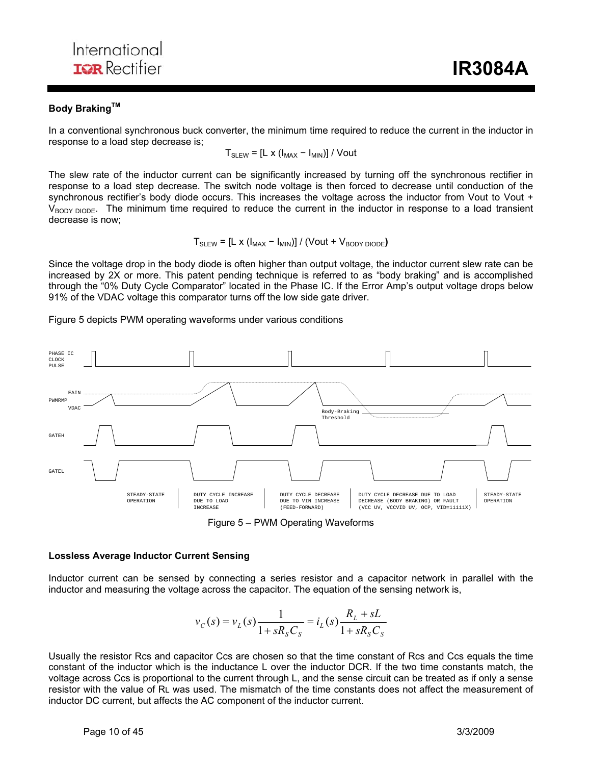#### **Body Braking™**

In a conventional synchronous buck converter, the minimum time required to reduce the current in the inductor in response to a load step decrease is;

ı

$$
T_{SLEW} = [L \times (I_{MAX} - I_{MIN})] / Vout
$$

The slew rate of the inductor current can be significantly increased by turning off the synchronous rectifier in response to a load step decrease. The switch node voltage is then forced to decrease until conduction of the synchronous rectifier's body diode occurs. This increases the voltage across the inductor from Vout to Vout + V<sub>BODY DIODE</sub>. The minimum time required to reduce the current in the inductor in response to a load transient decrease is now;

$$
T_{\text{SLEW}} = [L \times (I_{\text{MAX}} - I_{\text{MIN}})] / (\text{Vout} + V_{\text{BODY DIODE}})
$$

Since the voltage drop in the body diode is often higher than output voltage, the inductor current slew rate can be increased by 2X or more. This patent pending technique is referred to as "body braking" and is accomplished through the "0% Duty Cycle Comparator" located in the Phase IC. If the Error Amp's output voltage drops below 91% of the VDAC voltage this comparator turns off the low side gate driver.

Figure 5 depicts PWM operating waveforms under various conditions



Figure 5 – PWM Operating Waveforms

#### **Lossless Average Inductor Current Sensing**

Inductor current can be sensed by connecting a series resistor and a capacitor network in parallel with the inductor and measuring the voltage across the capacitor. The equation of the sensing network is,

$$
v_C(s) = v_L(s) \frac{1}{1 + sR_sC_s} = i_L(s) \frac{R_L + sL}{1 + sR_sC_s}
$$

Usually the resistor Rcs and capacitor Ccs are chosen so that the time constant of Rcs and Ccs equals the time constant of the inductor which is the inductance L over the inductor DCR. If the two time constants match, the voltage across Ccs is proportional to the current through L, and the sense circuit can be treated as if only a sense resistor with the value of RL was used. The mismatch of the time constants does not affect the measurement of inductor DC current, but affects the AC component of the inductor current.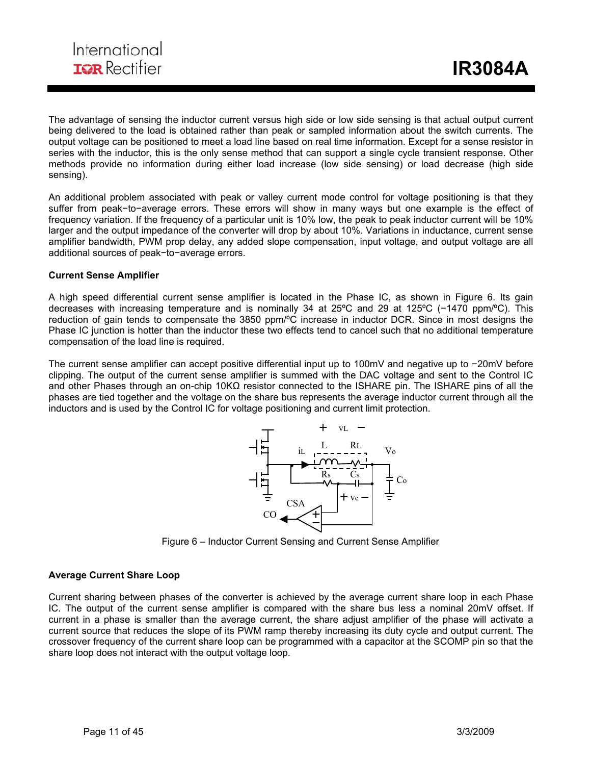The advantage of sensing the inductor current versus high side or low side sensing is that actual output current being delivered to the load is obtained rather than peak or sampled information about the switch currents. The output voltage can be positioned to meet a load line based on real time information. Except for a sense resistor in series with the inductor, this is the only sense method that can support a single cycle transient response. Other methods provide no information during either load increase (low side sensing) or load decrease (high side sensing).

ı

An additional problem associated with peak or valley current mode control for voltage positioning is that they suffer from peak−to−average errors. These errors will show in many ways but one example is the effect of frequency variation. If the frequency of a particular unit is 10% low, the peak to peak inductor current will be 10% larger and the output impedance of the converter will drop by about 10%. Variations in inductance, current sense amplifier bandwidth, PWM prop delay, any added slope compensation, input voltage, and output voltage are all additional sources of peak−to−average errors.

#### **Current Sense Amplifier**

A high speed differential current sense amplifier is located in the Phase IC, as shown in Figure 6. Its gain decreases with increasing temperature and is nominally 34 at 25ºC and 29 at 125ºC (−1470 ppm/ºC). This reduction of gain tends to compensate the 3850 ppm/ºC increase in inductor DCR. Since in most designs the Phase IC junction is hotter than the inductor these two effects tend to cancel such that no additional temperature compensation of the load line is required.

The current sense amplifier can accept positive differential input up to 100mV and negative up to −20mV before clipping. The output of the current sense amplifier is summed with the DAC voltage and sent to the Control IC and other Phases through an on-chip 10KΩ resistor connected to the ISHARE pin. The ISHARE pins of all the phases are tied together and the voltage on the share bus represents the average inductor current through all the inductors and is used by the Control IC for voltage positioning and current limit protection.



Figure 6 – Inductor Current Sensing and Current Sense Amplifier

#### **Average Current Share Loop**

Current sharing between phases of the converter is achieved by the average current share loop in each Phase IC. The output of the current sense amplifier is compared with the share bus less a nominal 20mV offset. If current in a phase is smaller than the average current, the share adjust amplifier of the phase will activate a current source that reduces the slope of its PWM ramp thereby increasing its duty cycle and output current. The crossover frequency of the current share loop can be programmed with a capacitor at the SCOMP pin so that the share loop does not interact with the output voltage loop.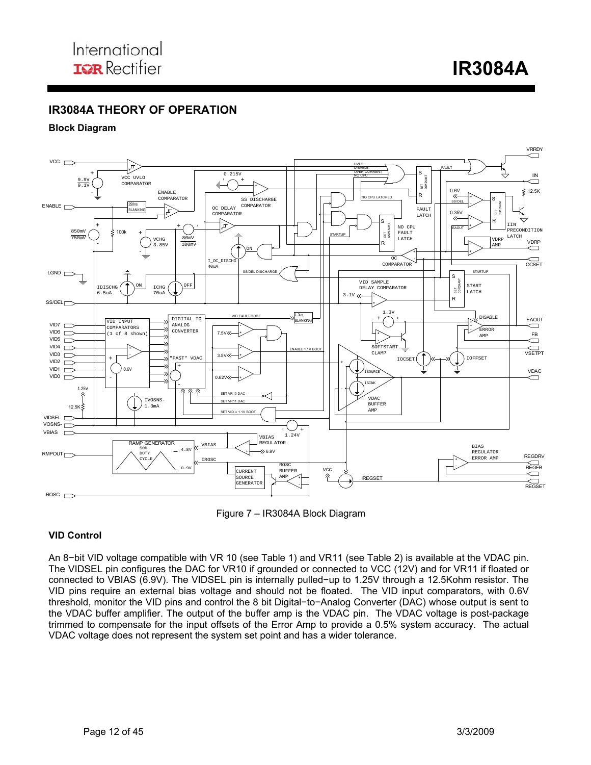**IR3084A** 

## **IR3084A THEORY OF OPERATION**

#### **Block Diagram**



ı

Figure 7 – IR3084A Block Diagram

#### **VID Control**

An 8−bit VID voltage compatible with VR 10 (see Table 1) and VR11 (see Table 2) is available at the VDAC pin. The VIDSEL pin configures the DAC for VR10 if grounded or connected to VCC (12V) and for VR11 if floated or connected to VBIAS (6.9V). The VIDSEL pin is internally pulled−up to 1.25V through a 12.5Kohm resistor. The VID pins require an external bias voltage and should not be floated. The VID input comparators, with 0.6V threshold, monitor the VID pins and control the 8 bit Digital−to−Analog Converter (DAC) whose output is sent to the VDAC buffer amplifier. The output of the buffer amp is the VDAC pin. The VDAC voltage is post-package trimmed to compensate for the input offsets of the Error Amp to provide a 0.5% system accuracy. The actual VDAC voltage does not represent the system set point and has a wider tolerance.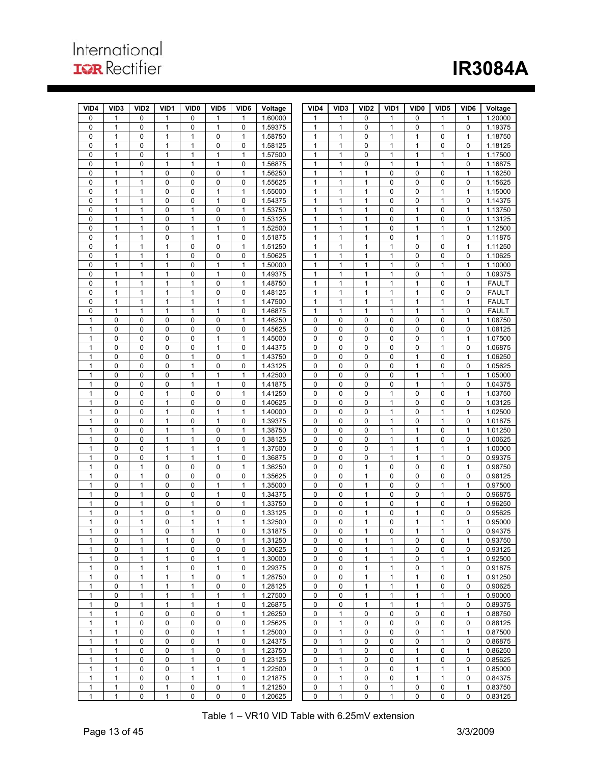# **IR3084A**

| VID4         | VID <sub>3</sub>             | VID <sub>2</sub>             | VID1              | VID <sub>0</sub>  | VID <sub>5</sub>             | VID <sub>6</sub>  | Voltage            | VID4              | VID <sub>3</sub> | VID <sub>2</sub>  | VID1                        | VID <sub>0</sub>            | VID <sub>5</sub>  | VID6              | Voltage            |
|--------------|------------------------------|------------------------------|-------------------|-------------------|------------------------------|-------------------|--------------------|-------------------|------------------|-------------------|-----------------------------|-----------------------------|-------------------|-------------------|--------------------|
| 0            | 1                            | $\mathbf 0$                  | $\mathbf{1}$      | 0                 | 1                            | $\mathbf{1}$      | 1.60000            | 1                 | 1                | 0                 | 1                           | $\mathbf 0$                 | $\mathbf{1}$      | $\mathbf{1}$      | 1.20000            |
| 0            | $\mathbf{1}$                 | $\mathbf 0$                  | $\mathbf{1}$      | 0                 | $\mathbf{1}$                 | $\mathbf 0$       | 1.59375            | $\mathbf{1}$      | $\mathbf{1}$     | 0                 | $\mathbf{1}$                | $\mathbf 0$                 | $\mathbf{1}$      | $\mathbf 0$       | 1.19375            |
| 0            | 1                            | $\mathbf 0$                  | 1                 | 1                 | 0                            | $\mathbf{1}$      | 1.58750            | 1                 | 1                | 0                 | $\mathbf{1}$                | 1                           | $\mathbf 0$       | $\mathbf{1}$      | 1.18750            |
| 0            | 1                            | $\mathbf 0$                  | $\mathbf{1}$      | $\mathbf{1}$      | 0                            | 0                 | 1.58125            | 1                 | 1                | 0                 | $\mathbf{1}$                | $\mathbf{1}$                | $\mathbf 0$       | 0                 | 1.18125            |
| 0            | 1                            | $\mathbf 0$                  | $\mathbf{1}$      | 1                 | $\mathbf{1}$                 | $\mathbf{1}$      | 1.57500            | 1                 | 1                | 0                 | $\mathbf{1}$                | $\mathbf{1}$                | 1                 | $\mathbf{1}$      | 1.17500            |
| 0            | $\mathbf{1}$                 | $\mathbf 0$                  | $\mathbf{1}$      | $\mathbf{1}$      | $\mathbf{1}$                 | 0                 | 1.56875            | 1                 | 1                | 0                 | $\mathbf{1}$                | $\mathbf{1}$                | $\mathbf{1}$      | 0                 | 1.16875            |
| 0            | $\mathbf{1}$                 | $\mathbf{1}$                 | $\mathbf 0$       | $\mathbf 0$       | 0                            | $\mathbf{1}$      | 1.56250            | $\mathbf{1}$      | $\mathbf{1}$     | $\mathbf{1}$      | $\mathbf 0$                 | $\mathbf 0$                 | 0                 | $\mathbf{1}$      | 1.16250            |
| 0            | 1                            | $\mathbf{1}$                 | $\mathbf 0$       | $\pmb{0}$         | 0                            | 0                 | 1.55625            | 1                 | 1                | 1                 | $\mathbf 0$                 | $\mathbf 0$                 | 0                 | 0                 | 1.15625            |
| 0            | $\mathbf{1}$                 | $\mathbf{1}$                 | $\mathbf 0$       | $\mathbf 0$       | $\mathbf{1}$                 | $\mathbf{1}$      | 1.55000            | 1                 | $\mathbf{1}$     | $\mathbf{1}$      | $\mathbf 0$                 | $\mathbf 0$                 | $\mathbf{1}$      | 1                 | 1.15000            |
| 0            | $\mathbf{1}$<br>$\mathbf{1}$ | $\mathbf{1}$<br>$\mathbf{1}$ | $\mathbf 0$<br>0  | $\mathbf 0$<br>1  | $\mathbf{1}$<br>0            | 0<br>$\mathbf{1}$ | 1.54375            | $\mathbf{1}$<br>1 | 1<br>1           | $\mathbf{1}$<br>1 | $\mathbf 0$                 | $\mathbf 0$<br>$\mathbf{1}$ | $\mathbf{1}$      | 0<br>$\mathbf{1}$ | 1.14375            |
| 0<br>0       | 1                            | $\mathbf{1}$                 | $\mathbf 0$       | 1                 | 0                            | 0                 | 1.53750<br>1.53125 | 1                 | 1                | $\mathbf{1}$      | 0<br>$\mathbf 0$            | $\mathbf{1}$                | 0<br>$\mathbf 0$  | 0                 | 1.13750<br>1.13125 |
| 0            | $\mathbf{1}$                 | $\mathbf{1}$                 | $\mathbf 0$       | $\mathbf{1}$      | $\mathbf{1}$                 | $\mathbf{1}$      | 1.52500            | $\mathbf{1}$      | 1                | 1                 | $\mathbf 0$                 | $\mathbf{1}$                | $\mathbf{1}$      | $\mathbf{1}$      | 1.12500            |
| 0            | $\mathbf{1}$                 | $\mathbf{1}$                 | $\mathbf 0$       | $\mathbf{1}$      | $\mathbf{1}$                 | 0                 | 1.51875            | $\mathbf{1}$      | $\mathbf{1}$     | 1                 | $\mathbf 0$                 | $\mathbf{1}$                | $\mathbf{1}$      | $\pmb{0}$         | 1.11875            |
| 0            | 1                            | $\mathbf{1}$                 | 1                 | $\mathbf 0$       | 0                            | 1                 | 1.51250            | 1                 | 1                | 1                 | $\mathbf{1}$                | $\mathbf 0$                 | 0                 | $\mathbf{1}$      | 1.11250            |
| 0            | $\mathbf{1}$                 | $\mathbf{1}$                 | $\mathbf{1}$      | $\mathbf 0$       | 0                            | 0                 | 1.50625            | $\mathbf{1}$      | 1                | $\mathbf{1}$      | $\mathbf{1}$                | $\mathbf 0$                 | $\mathbf 0$       | 0                 | 1.10625            |
| 0            | 1                            | 1                            | $\mathbf{1}$      | $\mathbf 0$       | $\mathbf{1}$                 | $\mathbf{1}$      | 1.50000            | 1                 | 1                | 1                 | $\mathbf{1}$                | $\mathbf 0$                 | 1                 | $\mathbf{1}$      | 1.10000            |
| 0            | $\mathbf{1}$                 | $\mathbf{1}$                 | $\mathbf{1}$      | 0                 | 1                            | 0                 | 1.49375            | 1                 | 1                | 1                 | 1                           | 0                           | $\mathbf{1}$      | 0                 | 1.09375            |
| 0            | $\mathbf{1}$                 | $\mathbf{1}$                 | $\mathbf{1}$      | $\mathbf{1}$      | 0                            | $\mathbf{1}$      | 1.48750            | $\mathbf{1}$      | 1                | $\mathbf{1}$      | $\mathbf{1}$                | $\mathbf{1}$                | 0                 | $\mathbf{1}$      | <b>FAULT</b>       |
| 0            | 1                            | $\mathbf{1}$                 | $\mathbf{1}$      | 1                 | 0                            | 0                 | 1.48125            | 1                 | 1                | 1                 | $\mathbf{1}$                | $\mathbf{1}$                | 0                 | $\pmb{0}$         | <b>FAULT</b>       |
| 0            | 1                            | $\mathbf{1}$                 | $\mathbf{1}$      | $\mathbf{1}$      | $\mathbf{1}$                 | $\mathbf{1}$      | 1.47500            | 1                 | 1                | $\mathbf{1}$      | $\mathbf{1}$                | $\mathbf{1}$                | $\mathbf{1}$      | $\mathbf{1}$      | <b>FAULT</b>       |
| 0            | 1                            | $\mathbf{1}$                 | $\mathbf{1}$      | $\mathbf{1}$      | $\mathbf{1}$                 | 0                 | 1.46875            | 1                 | 1                | 1                 | $\mathbf{1}$                | $\mathbf{1}$                | $\mathbf{1}$      | 0                 | <b>FAULT</b>       |
| 1            | 0                            | $\mathbf 0$                  | 0                 | $\mathbf 0$       | 0                            | $\mathbf{1}$      | 1.46250            | 0                 | 0                | 0                 | $\mathbf 0$                 | 0                           | $\mathbf 0$       | $\mathbf{1}$      | 1.08750            |
| 1            | 0                            | $\mathbf 0$                  | 0                 | 0                 | 0                            | 0                 | 1.45625            | 0                 | 0                | 0                 | $\mathbf 0$                 | 0                           | 0                 | 0                 | 1.08125            |
| 1            | 0                            | $\mathbf 0$                  | $\mathbf 0$       | 0                 | $\mathbf{1}$                 | 1                 | 1.45000            | 0                 | 0                | 0                 | $\mathbf 0$                 | $\mathbf 0$                 | $\mathbf{1}$      | $\mathbf{1}$      | 1.07500            |
| 1            | 0                            | $\bf 0$                      | $\mathbf 0$       | $\mathbf 0$       | $\mathbf{1}$                 | 0                 | 1.44375            | 0                 | 0                | 0                 | $\mathbf 0$                 | $\mathbf 0$                 | $\mathbf{1}$      | $\pmb{0}$         | 1.06875            |
| 1            | 0                            | 0                            | $\mathbf 0$       | 1                 | 0                            | 1                 | 1.43750            | 0                 | 0                | 0                 | 0                           | 1                           | 0                 | 1                 | 1.06250            |
| 1            | 0                            | $\mathbf 0$                  | $\mathbf 0$       | $\mathbf{1}$      | 0                            | 0                 | 1.43125            | 0                 | 0                | 0                 | $\mathbf 0$                 | $\mathbf{1}$                | $\mathbf 0$       | 0                 | 1.05625            |
| 1            | 0<br>0                       | $\mathbf 0$                  | $\mathbf 0$       | 1                 | $\mathbf{1}$<br>$\mathbf{1}$ | $\mathbf{1}$      | 1.42500            | 0                 | 0                | 0<br>0            | $\mathbf 0$                 | $\mathbf{1}$                | 1                 | $\mathbf{1}$<br>0 | 1.05000            |
| 1<br>1       | 0                            | $\mathbf 0$<br>$\mathbf 0$   | 0<br>$\mathbf{1}$ | $\mathbf{1}$<br>0 | 0                            | 0<br>$\mathbf{1}$ | 1.41875<br>1.41250 | 0<br>0            | 0<br>0           | 0                 | $\mathbf 0$<br>$\mathbf{1}$ | $\mathbf{1}$<br>$\mathbf 0$ | $\mathbf{1}$<br>0 | $\mathbf{1}$      | 1.04375<br>1.03750 |
| 1            | 0                            | $\mathbf 0$                  | $\mathbf{1}$      | $\pmb{0}$         | 0                            | 0                 | 1.40625            | 0                 | 0                | 0                 | 1                           | $\mathbf 0$                 | $\pmb{0}$         | 0                 | 1.03125            |
| 1            | 0                            | $\mathbf 0$                  | $\mathbf{1}$      | $\mathbf 0$       | $\mathbf{1}$                 | $\mathbf{1}$      | 1.40000            | 0                 | 0                | 0                 | $\mathbf{1}$                | $\mathbf 0$                 | $\mathbf{1}$      | $\mathbf{1}$      | 1.02500            |
| 1            | 0                            | 0                            | 1                 | 0                 | $\mathbf{1}$                 | 0                 | 1.39375            | 0                 | 0                | 0                 | $\mathbf{1}$                | $\mathbf 0$                 | 1                 | 0                 | 1.01875            |
| 1            | 0                            | $\mathbf 0$                  | $\mathbf{1}$      | 1                 | 0                            | $\mathbf{1}$      | 1.38750            | 0                 | 0                | 0                 | $\mathbf{1}$                | $\mathbf{1}$                | $\mathbf 0$       | $\mathbf{1}$      | 1.01250            |
| 1            | 0                            | $\mathbf 0$                  | $\mathbf{1}$      | $\mathbf{1}$      | 0                            | 0                 | 1.38125            | 0                 | 0                | 0                 | $\mathbf{1}$                | $\mathbf{1}$                | 0                 | 0                 | 1.00625            |
| 1            | 0                            | $\mathbf 0$                  | $\mathbf{1}$      | 1                 | $\mathbf{1}$                 | 1                 | 1.37500            | 0                 | 0                | 0                 | $\mathbf{1}$                | $\mathbf{1}$                | $\mathbf{1}$      | $\mathbf{1}$      | 1.00000            |
| 1            | 0                            | $\mathbf 0$                  | $\mathbf{1}$      | $\mathbf{1}$      | $\mathbf{1}$                 | 0                 | 1.36875            | 0                 | 0                | 0                 | $\mathbf{1}$                | $\mathbf{1}$                | $\mathbf{1}$      | $\mathbf 0$       | 0.99375            |
| 1            | 0                            | $\mathbf{1}$                 | $\mathbf 0$       | $\mathbf 0$       | 0                            | 1                 | 1.36250            | 0                 | 0                | 1                 | $\mathbf 0$                 | $\mathbf 0$                 | $\mathbf 0$       | $\mathbf{1}$      | 0.98750            |
| 1            | 0                            | $\mathbf{1}$                 | $\mathbf 0$       | $\pmb{0}$         | 0                            | 0                 | 1.35625            | 0                 | 0                | $\mathbf{1}$      | $\mathbf 0$                 | $\mathbf 0$                 | $\mathbf 0$       | 0                 | 0.98125            |
| 1            | 0                            | $\mathbf{1}$                 | $\mathbf 0$       | $\mathbf 0$       | $\mathbf{1}$                 | $\mathbf{1}$      | 1.35000            | 0                 | 0                | 1                 | $\mathbf 0$                 | $\mathbf 0$                 | 1                 | $\mathbf{1}$      | 0.97500            |
| 1            | 0                            | $\mathbf{1}$                 | $\mathbf 0$       | $\mathbf 0$       | $\mathbf{1}$                 | 0                 | 1.34375            | 0                 | 0                | $\mathbf{1}$      | $\mathbf 0$                 | $\mathbf 0$                 | $\mathbf{1}$      | 0                 | 0.96875            |
| 1            | 0                            | $\mathbf{1}$                 | 0                 | $\mathbf{1}$      | 0                            | $\mathbf{1}$      | 1.33750            | 0                 | 0                | $\mathbf{1}$      | $\mathbf 0$                 | $\mathbf{1}$                | 0                 | $\mathbf{1}$      | 0.96250            |
| 1            | 0                            | $\mathbf{1}$                 | $\mathbf 0$       | 1                 | 0                            | 0                 | 1.33125            | 0                 | 0                | 1                 | $\mathbf 0$                 | $\mathbf{1}$                | 0                 | 0                 | 0.95625            |
| 1            | 0                            | $\mathbf{1}$                 | 0                 | 1                 | $\mathbf{1}$                 | 1                 | 1.32500            | 0                 | 0                | 1                 | $\mathbf 0$                 | 1                           | 1                 | $\mathbf{1}$      | 0.95000            |
| $\mathbf{1}$ | 0                            | $\mathbf{1}$                 | $\mathbf 0$       | 1                 | $\mathbf{1}$                 | 0                 | 1.31875            | 0                 | $\Omega$         | 1                 | $\Omega$                    | $\mathbf{1}$                | 1                 | $\mathbf 0$       | 0.94375            |
| 1            | 0<br>0                       | 1<br>$\mathbf{1}$            | 1<br>$\mathbf{1}$ | 0<br>0            | 0<br>0                       | 1<br>0            | 1.31250            | 0<br>0            | 0<br>0           | 1<br>1            | 1<br>1                      | 0<br>0                      | 0<br>0            | 1<br>0            | 0.93750            |
| 1<br>1       | 0                            | 1                            | 1                 | 0                 | 1                            | $\mathbf{1}$      | 1.30625<br>1.30000 | 0                 | 0                | 1                 | 1                           | 0                           | $\mathbf{1}$      | 1                 | 0.93125<br>0.92500 |
| 1            | 0                            | $\mathbf{1}$                 | $\mathbf{1}$      | 0                 | $\mathbf{1}$                 | 0                 | 1.29375            | 0                 | 0                | $\mathbf{1}$      | $\mathbf{1}$                | $\pmb{0}$                   | $\mathbf{1}$      | 0                 | 0.91875            |
| 1            | 0                            | $\mathbf{1}$                 | 1                 | 1                 | 0                            | 1                 | 1.28750            | 0                 | 0                | $\mathbf{1}$      | $\mathbf{1}$                | 1                           | $\mathbf 0$       | 1                 | 0.91250            |
| 1            | 0                            | $\mathbf{1}$                 | $\mathbf{1}$      | $\mathbf{1}$      | 0                            | 0                 | 1.28125            | 0                 | 0                | $\mathbf{1}$      | $\mathbf{1}$                | $\mathbf{1}$                | 0                 | $\pmb{0}$         | 0.90625            |
| 1            | 0                            | $\mathbf{1}$                 | $\mathbf{1}$      | 1                 | $\mathbf{1}$                 | $\mathbf{1}$      | 1.27500            | 0                 | 0                | $\mathbf{1}$      | $\mathbf{1}$                | $\mathbf{1}$                | 1                 | 1                 | 0.90000            |
| 1            | 0                            | 1                            | $\mathbf{1}$      | $\mathbf{1}$      | $\mathbf{1}$                 | 0                 | 1.26875            | 0                 | 0                | 1                 | 1                           | $\mathbf{1}$                | $\mathbf{1}$      | 0                 | 0.89375            |
| $\mathbf{1}$ | $\mathbf{1}$                 | 0                            | $\pmb{0}$         | 0                 | 0                            | $\mathbf{1}$      | 1.26250            | 0                 | $\mathbf{1}$     | 0                 | 0                           | $\mathbf 0$                 | 0                 | 1                 | 0.88750            |
| 1            | 1                            | 0                            | $\mathbf 0$       | $\pmb{0}$         | 0                            | 0                 | 1.25625            | 0                 | 1                | 0                 | 0                           | $\mathbf 0$                 | 0                 | 0                 | 0.88125            |
| 1            | $\mathbf{1}$                 | 0                            | 0                 | $\mathbf 0$       | 1                            | 1                 | 1.25000            | 0                 | 1                | 0                 | 0                           | $\mathbf 0$                 | $\mathbf{1}$      | $\mathbf{1}$      | 0.87500            |
| 1            | 1                            | 0                            | $\mathbf 0$       | $\pmb{0}$         | $\mathbf{1}$                 | 0                 | 1.24375            | 0                 | 1                | 0                 | 0                           | $\mathbf 0$                 | $\mathbf{1}$      | 0                 | 0.86875            |
| 1            | 1                            | 0                            | $\mathbf 0$       | 1                 | 0                            | $\mathbf{1}$      | 1.23750            | 0                 | 1                | 0                 | 0                           | $\mathbf{1}$                | 0                 | $\mathbf{1}$      | 0.86250            |
| 1            | 1                            | 0                            | $\mathbf 0$       | 1                 | 0                            | 0                 | 1.23125            | 0                 | 1                | 0                 | 0                           | 1                           | 0                 | 0                 | 0.85625            |
| 1            | 1                            | 0                            | $\mathbf 0$       | $\mathbf{1}$      | $\mathbf{1}$                 | 1                 | 1.22500            | 0                 | 1                | 0                 | 0                           | $\mathbf{1}$                | $\mathbf{1}$      | 1                 | 0.85000            |
| $\mathbf{1}$ | $\mathbf{1}$                 | $\pmb{0}$                    | $\pmb{0}$         | $\mathbf{1}$      | $\mathbf{1}$                 | 0                 | 1.21875            | 0                 | 1                | 0                 | $\pmb{0}$                   | $\mathbf{1}$                | $\mathbf{1}$      | $\pmb{0}$         | 0.84375            |
| 1            | 1                            | 0                            | $\mathbf{1}$      | 0                 | 0                            | $\mathbf{1}$      | 1.21250            | 0                 | 1                | 0                 | $\mathbf{1}$                | $\pmb{0}$                   | $\mathbf 0$       | 1                 | 0.83750            |
| $\mathbf{1}$ | $\mathbf{1}$                 | $\mathbf 0$                  | $\mathbf{1}$      | 0                 | 0                            | 0                 | 1.20625            | 0                 | $\mathbf{1}$     | 0                 | $\mathbf{1}$                | $\mathbf 0$                 | 0                 | 0                 | 0.83125            |

ı

Table 1 – VR10 VID Table with 6.25mV extension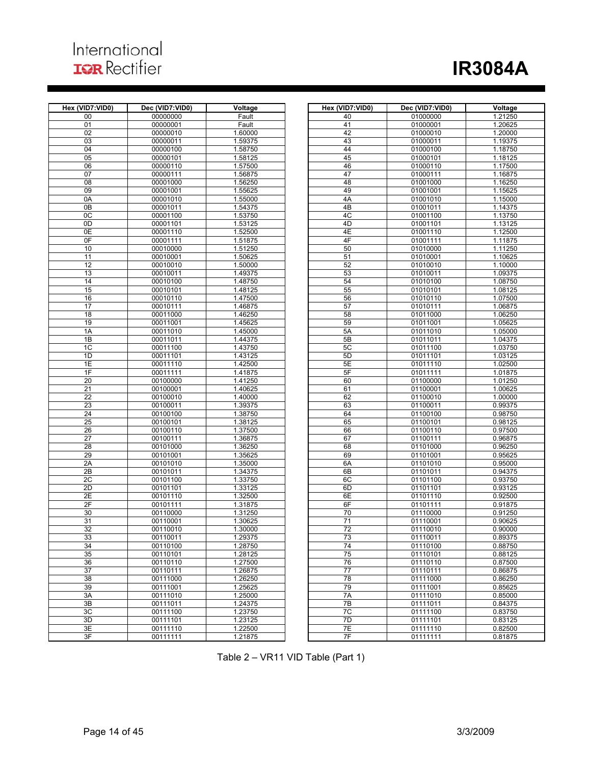## International **IQR** Rectifier

# **IR3084A**

| Hex (VID7:VID0) | Dec (VID7:VID0) | Voltage | Hex (VID7:VID0) | Dec (VID7:VID0) | <b>Voltage</b> |
|-----------------|-----------------|---------|-----------------|-----------------|----------------|
| 00              | 00000000        | Fault   | 40              | 01000000        | 1.21250        |
| 01              | 00000001        | Fault   | 41              | 01000001        | 1.20625        |
|                 |                 | 1.60000 | 42              | 01000010        | 1.20000        |
| 02              | 00000010        |         |                 |                 |                |
| 03              | 00000011        | 1.59375 | 43              | 01000011        | 1.19375        |
| 04              | 00000100        | 1.58750 | 44              | 01000100        | 1.18750        |
| 05              | 00000101        | 1.58125 | 45              | 01000101        | 1.18125        |
| 06              | 00000110        | 1.57500 | 46              | 01000110        | 1.17500        |
| 07              | 00000111        | 1.56875 | 47              | 01000111        | 1.16875        |
| 08              | 00001000        | 1.56250 | 48              | 01001000        | 1.16250        |
| 09              | 00001001        | 1.55625 | 49              | 01001001        | 1.15625        |
| 0A              | 00001010        | 1.55000 | 4A              | 01001010        | 1.15000        |
| 0B              | 00001011        | 1.54375 | 4B              | 01001011        | 1.14375        |
| 0 <sup>C</sup>  | 00001100        | 1.53750 | 4C              | 01001100        | 1.13750        |
| 0D              | 00001101        |         | 4D              | 01001101        |                |
|                 |                 | 1.53125 |                 |                 | 1.13125        |
| 0E              | 00001110        | 1.52500 | 4E              | 01001110        | 1.12500        |
| 0F              | 00001111        | 1.51875 | 4F              | 01001111        | 1.11875        |
| 10              | 00010000        | 1.51250 | 50              | 01010000        | 1.11250        |
| 11              | 00010001        | 1.50625 | 51              | 01010001        | 1.10625        |
| 12              | 00010010        | 1.50000 | 52              | 01010010        | 1.10000        |
| 13              | 00010011        | 1.49375 | 53              | 01010011        | 1.09375        |
| 14              | 00010100        | 1.48750 | 54              | 01010100        | 1.08750        |
| 15              | 00010101        | 1.48125 | 55              | 01010101        | 1.08125        |
| 16              | 00010110        | 1.47500 | 56              | 01010110        | 1.07500        |
| 17              | 00010111        | 1.46875 | 57              | 01010111        | 1.06875        |
| 18              | 00011000        | 1.46250 | 58              | 01011000        | 1.06250        |
| 19              | 00011001        | 1.45625 | 59              |                 |                |
|                 |                 |         |                 | 01011001        | 1.05625        |
| 1A              | 00011010        | 1.45000 | 5A              | 01011010        | 1.05000        |
| 1B              | 00011011        | 1.44375 | 5 <b>B</b>      | 01011011        | 1.04375        |
| 1 <sup>C</sup>  | 00011100        | 1.43750 | 5C              | 01011100        | 1.03750        |
| 1D              | 00011101        | 1.43125 | 5D              | 01011101        | 1.03125        |
| 1E              | 00011110        | 1.42500 | 5E              | 01011110        | 1.02500        |
| 1F              | 00011111        | 1.41875 | 5F              | 01011111        | 1.01875        |
| 20              | 00100000        | 1.41250 | 60              | 01100000        | 1.01250        |
| $\overline{21}$ | 00100001        | 1.40625 | 61              | 01100001        | 1.00625        |
| $\overline{22}$ | 00100010        | 1.40000 | 62              | 01100010        | 1.00000        |
| 23              | 00100011        | 1.39375 | 63              | 01100011        | 0.99375        |
| 24              | 00100100        | 1.38750 | 64              | 01100100        | 0.98750        |
| 25              | 00100101        | 1.38125 | 65              | 01100101        | 0.98125        |
| 26              | 00100110        | 1.37500 | 66              | 01100110        | 0.97500        |
| 27              | 00100111        | 1.36875 | 67              | 01100111        | 0.96875        |
|                 |                 |         |                 |                 |                |
| 28              | 00101000        | 1.36250 | 68              | 01101000        | 0.96250        |
| 29              | 00101001        | 1.35625 | 69              | 01101001        | 0.95625        |
| 2A              | 00101010        | 1.35000 | 6A              | 01101010        | 0.95000        |
| 2B              | 00101011        | 1.34375 | 6B              | 01101011        | 0.94375        |
| 2C              | 00101100        | 1.33750 | 6C              | 01101100        | 0.93750        |
| 2D              | 00101101        | 1.33125 | 6D              | 01101101        | 0.93125        |
| 2E              | 00101110        | 1.32500 | 6E              | 01101110        | 0.92500        |
| 2F              | 00101111        | 1.31875 | 6F              | 01101111        | 0.91875        |
| 30              | 00110000        | 1.31250 | 70              | 01110000        | 0.91250        |
| 31              | 00110001        | 1.30625 | 71              | 01110001        | 0.90625        |
| 32              | 00110010        | 1.30000 | $\overline{72}$ | 01110010        | 0.90000        |
| 33              | 00110011        | 1.29375 | 73              | 01110011        | 0.89375        |
| 34              | 00110100        | 1.28750 | 74              | 01110100        | 0.88750        |
|                 |                 |         |                 |                 |                |
| 35              | 00110101        | 1.28125 | 75              | 01110101        | 0.88125        |
| 36              | 00110110        | 1.27500 | 76              | 01110110        | 0.87500        |
| 37              | 00110111        | 1.26875 | 77              | 01110111        | 0.86875        |
| 38              | 00111000        | 1.26250 | 78              | 01111000        | 0.86250        |
| 39              | 00111001        | 1.25625 | 79              | 01111001        | 0.85625        |
| 3A              | 00111010        | 1.25000 | 7A              | 01111010        | 0.85000        |
| 3B              | 00111011        | 1.24375 | 7B              | 01111011        | 0.84375        |
| 3C              | 00111100        | 1.23750 | 7C              | 01111100        | 0.83750        |
| 3D              | 00111101        | 1.23125 | 7D              | 01111101        | 0.83125        |
| 3E              | 00111110        | 1.22500 | 7E              | 01111110        | 0.82500        |
| 3F              | 00111111        | 1.21875 | 7F              | 01111111        | 0.81875        |
|                 |                 |         |                 |                 |                |

| ID7:VID0)       | Dec (VID7:VID0)      | Voltage            | Hex (VID7:VID0) | Dec (VID7:VID0)      | Voltage            |
|-----------------|----------------------|--------------------|-----------------|----------------------|--------------------|
| 00              | 00000000             | Fault              | 40              | 01000000             | 1.21250            |
| 01              | 00000001             | Fault              | 41              | 01000001             | 1.20625            |
| 02              | 00000010             | 1.60000            | 42              | 01000010             | 1.20000            |
| 03              | 00000011             | 1.59375            | 43              | 01000011             | 1.19375            |
| 04              | 00000100             | 1.58750            | 44              | 01000100             | 1.18750            |
| 05              | 00000101             | 1.58125            | 45              | 01000101             | 1.18125            |
| 06              | 00000110             | 1.57500            | 46              | 01000110             | 1.17500            |
| 07              | 00000111             | 1.56875            | 47              | 01000111             | 1.16875            |
| 08              | 00001000             | 1.56250            | 48              | 01001000             | 1.16250            |
| 09              | 00001001             | 1.55625            | 49              | 01001001             | 1.15625            |
| 0A              | 00001010             | 1.55000            | 4A              | 01001010             | 1.15000            |
| 0В              | 00001011             | 1.54375            | 4B              | 01001011             | 1.14375            |
| 0C<br>0D        | 00001100<br>00001101 | 1.53750<br>1.53125 | 4C<br>4D        | 01001100<br>01001101 | 1.13750<br>1.13125 |
| 0E              | 00001110             | 1.52500            | 4E              | 01001110             | 1.12500            |
| 0F              | 00001111             | 1.51875            | 4F              | 01001111             | 1.11875            |
| 10              | 00010000             | 1.51250            | 50              | 01010000             | 1.11250            |
| 11              | 00010001             | 1.50625            | 51              | 01010001             | 1.10625            |
| 12              | 00010010             | 1.50000            | 52              | 01010010             | 1.10000            |
| 13              | 00010011             | 1.49375            | 53              | 01010011             | 1.09375            |
| 14              | 00010100             | 1.48750            | 54              | 01010100             | 1.08750            |
| 15              | 00010101             | 1.48125            | 55              | 01010101             | 1.08125            |
| 16              | 00010110             | 1.47500            | 56              | 01010110             | 1.07500            |
| 17              | 00010111             | 1.46875            | 57              | 01010111             | 1.06875            |
| 18              | 00011000             | 1.46250            | 58              | 01011000             | 1.06250            |
| 19              | 00011001             | 1.45625            | 59              | 01011001             | 1.05625            |
| 1A              | 00011010             | 1.45000            | 5A              | 01011010             | 1.05000            |
| 1B              | 00011011             | 1.44375            | 5B              | 01011011             | 1.04375            |
| 1C              | 00011100             | 1.43750            | 5C              | 01011100             | 1.03750            |
| 1D<br>1E        | 00011101<br>00011110 | 1.43125<br>1.42500 | 5D<br>5E        | 01011101<br>01011110 | 1.03125<br>1.02500 |
| 1F              | 00011111             | 1.41875            | 5F              | 01011111             | 1.01875            |
| 20              | 00100000             | 1.41250            | 60              | 01100000             | 1.01250            |
| 21              | 00100001             | 1.40625            | 61              | 01100001             | 1.00625            |
| $\overline{22}$ | 00100010             | 1.40000            | 62              | 01100010             | 1.00000            |
| 23              | 00100011             | 1.39375            | 63              | 01100011             | 0.99375            |
| 24              | 00100100             | 1.38750            | 64              | 01100100             | 0.98750            |
| 25              | 00100101             | 1.38125            | 65              | 01100101             | 0.98125            |
| 26              | 00100110             | 1.37500            | 66              | 01100110             | 0.97500            |
| 27              | 00100111             | 1.36875            | 67              | 01100111             | 0.96875            |
| 28              | 00101000             | 1.36250            | 68              | 01101000             | 0.96250            |
| 29              | 00101001             | 1.35625            | 69              | 01101001             | 0.95625            |
| 2A              | 00101010             | 1.35000            | 6A              | 01101010             | 0.95000            |
| 2Β              | 00101011             | 1.34375            | 6B              | 01101011             | 0.94375            |
| 2С<br>2D        | 00101100<br>00101101 | 1.33750<br>1.33125 | 6C<br>6D        | 01101100<br>01101101 | 0.93750<br>0.93125 |
| 2Е              | 00101110             | 1.32500            | 6E              | 01101110             | 0.92500            |
| 2F              | 00101111             | 1.31875            | 6F              | 01101111             | 0.91875            |
| 30              | 00110000             | 1.31250            | 70              | 01110000             | 0.91250            |
| 31              | 00110001             | 1.30625            | 71              | 01110001             | 0.90625            |
| 32              | 00110010             | 1.30000            | $\overline{72}$ | 01110010             | 0.90000            |
| 33              | 00110011             | 1.29375            | 73              | 01110011             | 0.89375            |
| 34              | 00110100             | 1.28750            | 74              | 01110100             | 0.88750            |
| 35              | 00110101             | 1.28125            | 75              | 01110101             | 0.88125            |
| 36              | 00110110             | 1.27500            | 76              | 01110110             | 0.87500            |
| 37              | 00110111             | 1.26875            | 77              | 01110111             | 0.86875            |
| 38              | 00111000             | 1.26250            | 78              | 01111000             | 0.86250            |
| 39              | 00111001             | 1.25625            | 79              | 01111001             | 0.85625            |
| ЗA              | 00111010             | 1.25000            | 7A              | 01111010             | 0.85000            |
| 3B              | 00111011             | 1.24375<br>1.23750 | 7B<br>7C        | 01111011<br>01111100 | 0.84375            |
| 3C<br>3D        | 00111100<br>00111101 | 1.23125            | 7D              | 01111101             | 0.83750<br>0.83125 |
| 3E              | 00111110             | 1.22500            | 7E              | 01111110             | 0.82500            |
| 3F              | 00111111             | 1.21875            | 7F              | 01111111             | 0.81875            |
|                 |                      |                    |                 |                      |                    |

Table 2 – VR11 VID Table (Part 1)

ı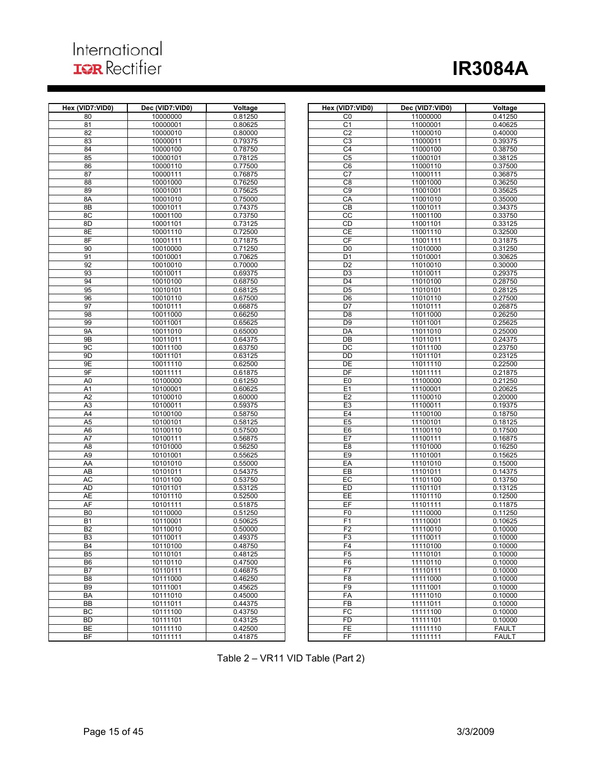## International **IQR** Rectifier

# **IR3084A**

| Hex (VID7:VID0) | Dec (VID7:VID0)      | Voltage            | Hex (VID7:VID0)      | Dec (VID7:VID0)      | Voltage            |
|-----------------|----------------------|--------------------|----------------------|----------------------|--------------------|
| 80              | 10000000             | 0.81250            | C <sub>0</sub>       | 11000000             | 0.41250            |
| 81              | 10000001             | 0.80625            | C <sub>1</sub>       | 11000001             | 0.40625            |
| 82              | 10000010             | 0.80000            | C <sub>2</sub>       | 11000010             | 0.40000            |
| 83              | 10000011             | 0.79375            | C3                   | 11000011             | 0.39375            |
| 84              | 10000100             | 0.78750            | C <sub>4</sub>       | 11000100             | 0.38750            |
| 85              | 10000101             | 0.78125            | C <sub>5</sub>       | 11000101             | 0.38125            |
| 86              | 10000110             | 0.77500            | C6                   | 11000110             | 0.37500            |
|                 |                      |                    |                      |                      |                    |
| 87              | 10000111             | 0.76875            | C <sub>7</sub>       | 11000111             | 0.36875            |
| 88              | 10001000             | 0.76250            | C8                   | 11001000             | 0.36250            |
| 89              | 10001001             | 0.75625            | C9                   | 11001001             | 0.35625            |
| 8A              | 10001010             | 0.75000            | CA                   | 11001010             | 0.35000            |
| 8B              | 10001011             | 0.74375            | $\overline{CB}$      | 11001011             | 0.34375            |
| 8C              | 10001100             | 0.73750            | cc                   | 11001100             | 0.33750            |
| 8D              | 10001101             | 0.73125            | CD                   | 11001101             | 0.33125            |
| 8E              | 10001110             | 0.72500            | CE                   | 11001110             | 0.32500            |
| 8F              | 10001111             | 0.71875            | CF                   | 11001111             | 0.31875            |
| 90              | 10010000             | 0.71250            | D <sub>0</sub>       | 11010000             | 0.31250            |
| 91              | 10010001             | 0.70625            | D <sub>1</sub>       | 11010001             | 0.30625            |
| 92              | 10010010             | 0.70000            | D <sub>2</sub>       | 11010010             | 0.30000            |
| 93              | 10010011             | 0.69375            | D <sub>3</sub>       | 11010011             | 0.29375            |
| 94              | 10010100             | 0.68750            | D <sub>4</sub>       | 11010100             | 0.28750            |
| 95              | 10010101             | 0.68125            | D <sub>5</sub>       | 11010101             | 0.28125            |
| 96              | 10010110             | 0.67500            | D <sub>6</sub>       | 11010110             | 0.27500            |
| 97              | 10010111             | 0.66875            | D7                   | 11010111             | 0.26875            |
| 98              | 10011000             | 0.66250            | D <sub>8</sub>       | 11011000             | 0.26250            |
| 99              | 10011001             | 0.65625            | D <sub>9</sub>       | 11011001             | 0.25625            |
| <b>9A</b>       | 10011010             | 0.65000            | DA                   | 11011010             | 0.25000            |
| 9B              | 10011011             | 0.64375            | DB                   | 11011011             | 0.24375            |
| 9C              | 10011100             | 0.63750            | DC                   | 11011100             | 0.23750            |
| 9D              | 10011101             | 0.63125            | $\overline{DD}$      | 11011101             | 0.23125            |
| 9E              | 10011110             | 0.62500            | DE                   |                      | 0.22500            |
|                 |                      |                    | DF                   | 11011110             | 0.21875            |
| 9F              | 10011111             | 0.61875            |                      | 11011111<br>11100000 |                    |
| A <sub>0</sub>  | 10100000             | 0.61250            | E <sub>0</sub>       |                      | 0.21250            |
| A <sub>1</sub>  | 10100001             | 0.60625            | E1                   | 11100001             | 0.20625            |
| A2              | 10100010             | 0.60000            | E2                   | 11100010             | 0.20000            |
| A3              | 10100011             | 0.59375            | E <sub>3</sub>       | 11100011             | 0.19375            |
| A <sub>4</sub>  | 10100100             | 0.58750            | E <sub>4</sub>       | 11100100             | 0.18750            |
| A <sub>5</sub>  | 10100101             | 0.58125            | E <sub>5</sub>       | 11100101             | 0.18125            |
| A <sub>6</sub>  | 10100110             | 0.57500            | E <sub>6</sub>       | 11100110             | 0.17500            |
| A7              | 10100111             | 0.56875            | E7                   | 11100111             | 0.16875            |
| A <sub>8</sub>  | 10101000             | 0.56250            | E <sub>8</sub>       | 11101000             | 0.16250            |
| A <sub>9</sub>  | 10101001             | 0.55625            | E <sub>9</sub>       | 11101001             | 0.15625            |
| AA              | 10101010             | 0.55000            | EA                   | 11101010             | 0.15000            |
| AB              | 10101011             | 0.54375            | EB                   | 11101011             | 0.14375            |
| AC              | 10101100             | 0.53750            | EC                   | 11101100             | 0.13750            |
| <b>AD</b>       | 10101101             | 0.53125            | ED                   | 11101101             | 0.13125            |
| <b>AE</b>       | 10101110             | 0.52500            | EE                   | 11101110             | 0.12500            |
| AF              | 10101111             | 0.51875            | EF                   | 11101111             | 0.11875            |
| B <sub>0</sub>  | 10110000             | 0.51250            | F <sub>0</sub>       | 11110000             | 0.11250            |
| B <sub>1</sub>  | 10110001             | 0.50625            | F1                   | 11110001             | 0.10625            |
| B <sub>2</sub>  | 10110010             | 0.50000            | F <sub>2</sub>       | 11110010             | 0.10000            |
|                 |                      |                    |                      |                      |                    |
| B3<br>B4        | 10110011             | 0.49375<br>0.48750 | FЗ<br>F <sub>4</sub> | 11110011<br>11110100 | 0.10000<br>0.10000 |
|                 | 10110100<br>10110101 | 0.48125            | F5                   | 11110101             | 0.10000            |
| B <sub>5</sub>  |                      |                    |                      |                      |                    |
| B <sub>6</sub>  | 10110110             | 0.47500            | F <sub>6</sub>       | 11110110             | 0.10000            |
| B7              | 10110111             | 0.46875            | F7                   | 11110111             | 0.10000            |
| B <sub>8</sub>  | 10111000             | 0.46250            | F <sub>8</sub>       | 11111000             | 0.10000            |
| B9              | 10111001             | 0.45625            | F <sub>9</sub>       | 11111001             | 0.10000            |
| BA              | 10111010             | 0.45000            | FA                   | 11111010             | 0.10000            |
| BB              | 10111011             | 0.44375            | FB                   | 11111011             | 0.10000            |
| BC              | 10111100             | 0.43750            | FC                   | 11111100             | 0.10000            |
| <b>BD</b>       | 10111101             | 0.43125            | <b>FD</b>            | 11111101             | 0.10000            |
| BE              | 10111110             | 0.42500            | FE                   | 11111110             | <b>FAULT</b>       |
| BF              | 10111111             | 0.41875            | FF                   | 11111111             | <b>FAULT</b>       |

| ID7:VID0)                        | Dec (VID7:VID0)      | Voltage            | Hex (VID7:VID0)      | Dec (VID7:VID0)      | Voltage            |
|----------------------------------|----------------------|--------------------|----------------------|----------------------|--------------------|
| 80                               | 10000000             | 0.81250            | C <sub>0</sub>       | 11000000             | 0.41250            |
| 81                               | 10000001             | 0.80625            | C <sub>1</sub>       | 11000001             | 0.40625            |
| 82                               | 10000010             | 0.80000            | C <sub>2</sub>       | 11000010             | 0.40000            |
| 83                               | 10000011             | 0.79375            | C3                   | 11000011             | 0.39375            |
| 84                               | 10000100             | 0.78750            | C4                   | 11000100             | 0.38750            |
| 85                               | 10000101             | 0.78125            | C <sub>5</sub>       | 11000101             | 0.38125            |
| 86                               | 10000110             | 0.77500            | C <sub>6</sub>       | 11000110             | 0.37500            |
| 87                               | 10000111             | 0.76875            | C7                   | 11000111             | 0.36875            |
| 88                               | 10001000             | 0.76250            | C <sub>8</sub>       | 11001000             | 0.36250            |
| 89                               | 10001001             | 0.75625            | C <sub>9</sub>       | 11001001             | 0.35625            |
| 8A                               | 10001010             | 0.75000            | CA                   | 11001010             | 0.35000            |
| 8B                               | 10001011             | 0.74375            | CB                   | 11001011             | 0.34375            |
| 8C                               | 10001100             | 0.73750            | CC                   | 11001100             | 0.33750            |
| 8D                               | 10001101             | 0.73125            | CD                   | 11001101             | 0.33125            |
| 8E                               | 10001110             | 0.72500            | СE                   | 11001110             | 0.32500            |
| 8F                               | 10001111             | 0.71875            | <b>CF</b>            | 11001111             | 0.31875            |
| 90                               | 10010000             | 0.71250            | D <sub>0</sub>       | 11010000             | 0.31250            |
| 91                               | 10010001             | 0.70625            | D <sub>1</sub>       | 11010001             | 0.30625            |
| 92                               | 10010010             | 0.70000            | D <sub>2</sub>       | 11010010             | 0.30000            |
| 93                               | 10010011             | 0.69375            | D <sub>3</sub>       | 11010011             | 0.29375            |
| 94                               | 10010100             | 0.68750            | D <sub>4</sub>       | 11010100             | 0.28750            |
| 95                               | 10010101             | 0.68125            | D <sub>5</sub>       | 11010101             | 0.28125            |
| 96                               | 10010110<br>10010111 | 0.67500            | D <sub>6</sub><br>D7 | 11010110             | 0.27500            |
| 97<br>98                         | 10011000             | 0.66875<br>0.66250 | D <sub>8</sub>       | 11010111<br>11011000 | 0.26875<br>0.26250 |
| 99                               | 10011001             | 0.65625            | D <sub>9</sub>       | 11011001             | 0.25625            |
| 9A                               | 10011010             | 0.65000            | DA                   | 11011010             | 0.25000            |
| 9B                               | 10011011             | 0.64375            | DB                   | 11011011             | 0.24375            |
| 9C                               | 10011100             | 0.63750            | DC                   | 11011100             | 0.23750            |
| 9D                               | 10011101             | 0.63125            | DD                   | 11011101             | 0.23125            |
| 9E                               | 10011110             | 0.62500            | DE                   | 11011110             | 0.22500            |
| 9F                               | 10011111             | 0.61875            | DF                   | 11011111             | 0.21875            |
| A <sub>0</sub>                   | 10100000             | 0.61250            | E <sub>0</sub>       | 11100000             | 0.21250            |
| A1                               | 10100001             | 0.60625            | E1                   | 11100001             | 0.20625            |
| A2                               | 10100010             | 0.60000            | E <sub>2</sub>       | 11100010             | 0.20000            |
| A3                               | 10100011             | 0.59375            | E <sub>3</sub>       | 11100011             | 0.19375            |
| A4                               | 10100100             | 0.58750            | E <sub>4</sub>       | 11100100             | 0.18750            |
| A <sub>5</sub>                   | 10100101             | 0.58125            | E <sub>5</sub>       | 11100101             | 0.18125            |
| A6                               | 10100110             | 0.57500            | E <sub>6</sub>       | 11100110             | 0.17500            |
| A7                               | 10100111             | 0.56875            | E7                   | 11100111             | 0.16875            |
| A8                               | 10101000             | 0.56250            | E <sub>8</sub>       | 11101000             | 0.16250            |
| A9                               | 10101001             | 0.55625            | E <sub>9</sub>       | 11101001             | 0.15625            |
| AA                               | 10101010             | 0.55000            | EA                   | 11101010             | 0.15000            |
| AB                               | 10101011             | 0.54375            | EB                   | 11101011             | 0.14375            |
| АC                               | 10101100             | 0.53750            | EC                   | 11101100             | 0.13750            |
| AD                               | 10101101             | 0.53125            | ED                   | 11101101             | 0.13125            |
| AE                               | 10101110             | 0.52500            | EE                   | 11101110             | 0.12500            |
| AF                               | 10101111             | 0.51875            | EF<br>F <sub>0</sub> | 11101111             | 0.11875            |
| B <sub>0</sub>                   | 10110000             | 0.51250            |                      | 11110000<br>11110001 | 0.11250            |
| B <sub>1</sub><br>B <sub>2</sub> | 10110001<br>10110010 | 0.50625<br>0.50000 | F <sub>1</sub><br>F2 | 11110010             | 0.10625<br>0.10000 |
| B <sub>3</sub>                   | 10110011             | 0.49375            | F <sub>3</sub>       | 11110011             | 0.10000            |
| <b>B4</b>                        | 10110100             | 0.48750            | F <sub>4</sub>       | 11110100             | 0.10000            |
| B <sub>5</sub>                   | 10110101             | 0.48125            | F5                   | 11110101             | 0.10000            |
| B <sub>6</sub>                   | 10110110             | 0.47500            | F <sub>6</sub>       | 11110110             | 0.10000            |
| B7                               | 10110111             | 0.46875            | F7                   | 11110111             | 0.10000            |
| B8                               | 10111000             | 0.46250            | F <sub>8</sub>       | 11111000             | 0.10000            |
| B <sub>9</sub>                   | 10111001             | 0.45625            | F <sub>9</sub>       | 11111001             | 0.10000            |
| BA                               | 10111010             | 0.45000            | FA                   | 11111010             | 0.10000            |
| ВB                               | 10111011             | 0.44375            | FB                   | 11111011             | 0.10000            |
| ВC                               | 10111100             | 0.43750            | FC                   | 11111100             | 0.10000            |
| ВD                               | 10111101             | 0.43125            | <b>FD</b>            | 11111101             | 0.10000            |
| ВE                               | 10111110             | 0.42500            | FE                   | 11111110             | <b>FAULT</b>       |
| ВF                               | 10111111             | 0.41875            | FF                   | 11111111             | <b>FAULT</b>       |
|                                  |                      |                    |                      |                      |                    |

Table 2 – VR11 VID Table (Part 2)

ı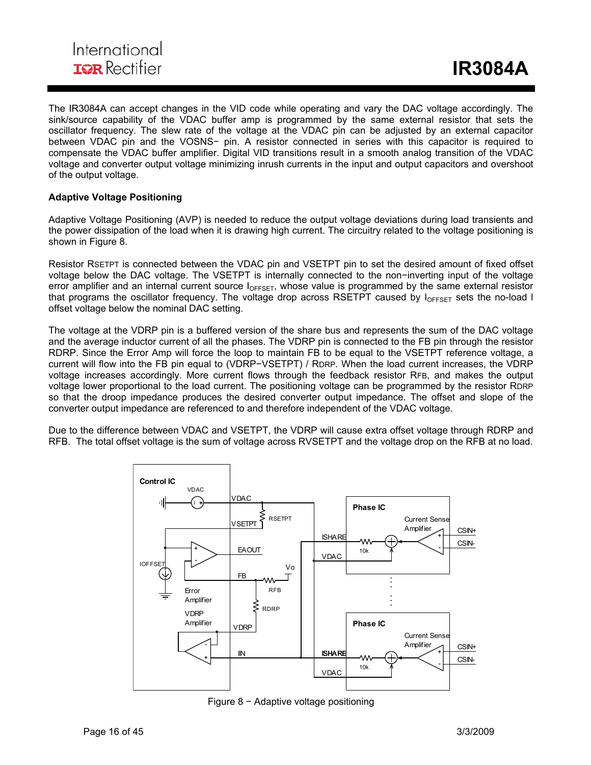The IR3084A can accept changes in the VID code while operating and vary the DAC voltage accordingly. The sink/source capability of the VDAC buffer amp is programmed by the same external resistor that sets the oscillator frequency. The slew rate of the voltage at the VDAC pin can be adjusted by an external capacitor between VDAC pin and the VOSNS− pin. A resistor connected in series with this capacitor is required to compensate the VDAC buffer amplifier. Digital VID transitions result in a smooth analog transition of the VDAC voltage and converter output voltage minimizing inrush currents in the input and output capacitors and overshoot of the output voltage.

ı

#### **Adaptive Voltage Positioning**

Adaptive Voltage Positioning (AVP) is needed to reduce the output voltage deviations during load transients and the power dissipation of the load when it is drawing high current. The circuitry related to the voltage positioning is shown in Figure 8.

Resistor RSETPT is connected between the VDAC pin and VSETPT pin to set the desired amount of fixed offset voltage below the DAC voltage. The VSETPT is internally connected to the non−inverting input of the voltage error amplifier and an internal current source  $I_{OFFSET}$ , whose value is programmed by the same external resistor that programs the oscillator frequency. The voltage drop across RSETPT caused by  $I_{OFFSET}$  sets the no-load I offset voltage below the nominal DAC setting.

The voltage at the VDRP pin is a buffered version of the share bus and represents the sum of the DAC voltage and the average inductor current of all the phases. The VDRP pin is connected to the FB pin through the resistor RDRP. Since the Error Amp will force the loop to maintain FB to be equal to the VSETPT reference voltage, a current will flow into the FB pin equal to (VDRP−VSETPT) / RDRP. When the load current increases, the VDRP voltage increases accordingly. More current flows through the feedback resistor RFB, and makes the output voltage lower proportional to the load current. The positioning voltage can be programmed by the resistor RDRP so that the droop impedance produces the desired converter output impedance. The offset and slope of the converter output impedance are referenced to and therefore independent of the VDAC voltage.

Due to the difference between VDAC and VSETPT, the VDRP will cause extra offset voltage through RDRP and RFB. The total offset voltage is the sum of voltage across RVSETPT and the voltage drop on the RFB at no load.



Figure 8 − Adaptive voltage positioning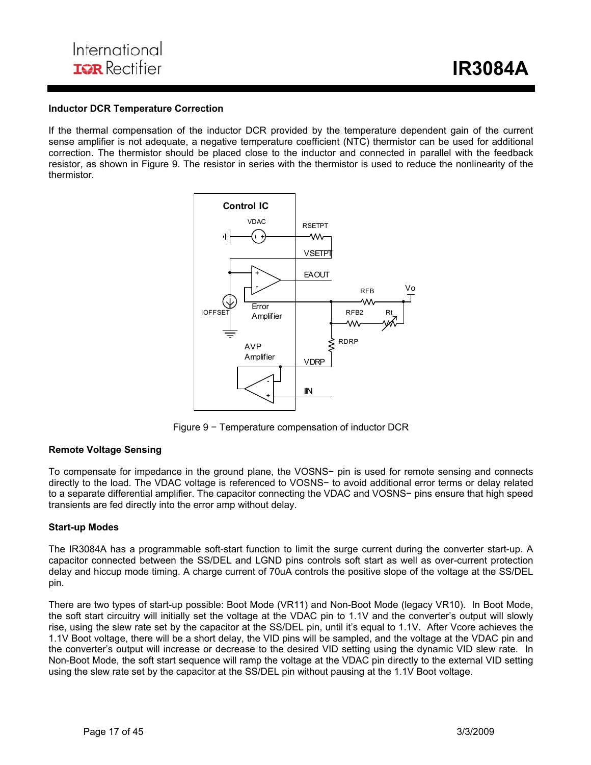#### **Inductor DCR Temperature Correction**

If the thermal compensation of the inductor DCR provided by the temperature dependent gain of the current sense amplifier is not adequate, a negative temperature coefficient (NTC) thermistor can be used for additional correction. The thermistor should be placed close to the inductor and connected in parallel with the feedback resistor, as shown in Figure 9. The resistor in series with the thermistor is used to reduce the nonlinearity of the thermistor.

ı



Figure 9 − Temperature compensation of inductor DCR

#### **Remote Voltage Sensing**

To compensate for impedance in the ground plane, the VOSNS− pin is used for remote sensing and connects directly to the load. The VDAC voltage is referenced to VOSNS− to avoid additional error terms or delay related to a separate differential amplifier. The capacitor connecting the VDAC and VOSNS− pins ensure that high speed transients are fed directly into the error amp without delay.

#### **Start-up Modes**

The IR3084A has a programmable soft-start function to limit the surge current during the converter start-up. A capacitor connected between the SS/DEL and LGND pins controls soft start as well as over-current protection delay and hiccup mode timing. A charge current of 70uA controls the positive slope of the voltage at the SS/DEL pin.

There are two types of start-up possible: Boot Mode (VR11) and Non-Boot Mode (legacy VR10). In Boot Mode, the soft start circuitry will initially set the voltage at the VDAC pin to 1.1V and the converter's output will slowly rise, using the slew rate set by the capacitor at the SS/DEL pin, until it's equal to 1.1V. After Vcore achieves the 1.1V Boot voltage, there will be a short delay, the VID pins will be sampled, and the voltage at the VDAC pin and the converter's output will increase or decrease to the desired VID setting using the dynamic VID slew rate. In Non-Boot Mode, the soft start sequence will ramp the voltage at the VDAC pin directly to the external VID setting using the slew rate set by the capacitor at the SS/DEL pin without pausing at the 1.1V Boot voltage.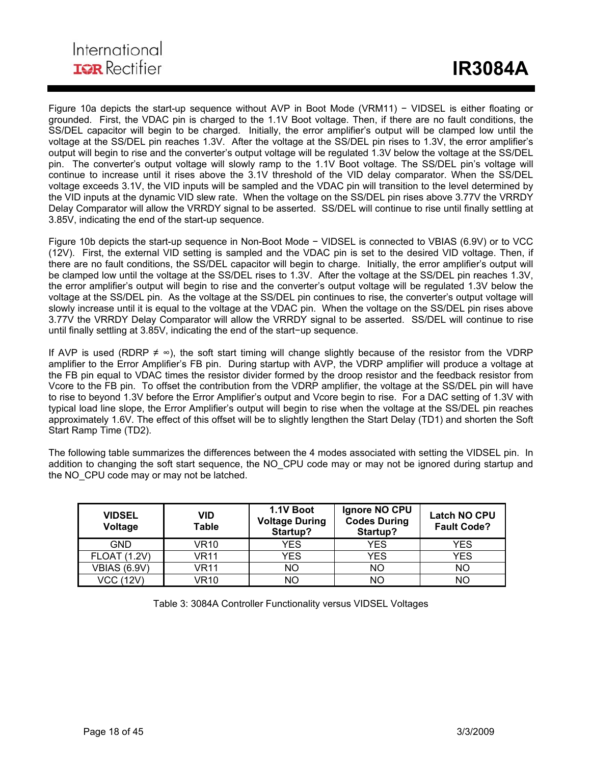Figure 10a depicts the start-up sequence without AVP in Boot Mode (VRM11) − VIDSEL is either floating or grounded. First, the VDAC pin is charged to the 1.1V Boot voltage. Then, if there are no fault conditions, the SS/DEL capacitor will begin to be charged. Initially, the error amplifier's output will be clamped low until the voltage at the SS/DEL pin reaches 1.3V. After the voltage at the SS/DEL pin rises to 1.3V, the error amplifier's output will begin to rise and the converter's output voltage will be regulated 1.3V below the voltage at the SS/DEL pin. The converter's output voltage will slowly ramp to the 1.1V Boot voltage. The SS/DEL pin's voltage will continue to increase until it rises above the 3.1V threshold of the VID delay comparator. When the SS/DEL voltage exceeds 3.1V, the VID inputs will be sampled and the VDAC pin will transition to the level determined by the VID inputs at the dynamic VID slew rate. When the voltage on the SS/DEL pin rises above 3.77V the VRRDY Delay Comparator will allow the VRRDY signal to be asserted. SS/DEL will continue to rise until finally settling at 3.85V, indicating the end of the start-up sequence.

ı

Figure 10b depicts the start-up sequence in Non-Boot Mode − VIDSEL is connected to VBIAS (6.9V) or to VCC (12V). First, the external VID setting is sampled and the VDAC pin is set to the desired VID voltage. Then, if there are no fault conditions, the SS/DEL capacitor will begin to charge. Initially, the error amplifier's output will be clamped low until the voltage at the SS/DEL rises to 1.3V. After the voltage at the SS/DEL pin reaches 1.3V, the error amplifier's output will begin to rise and the converter's output voltage will be regulated 1.3V below the voltage at the SS/DEL pin. As the voltage at the SS/DEL pin continues to rise, the converter's output voltage will slowly increase until it is equal to the voltage at the VDAC pin. When the voltage on the SS/DEL pin rises above 3.77V the VRRDY Delay Comparator will allow the VRRDY signal to be asserted. SS/DEL will continue to rise until finally settling at 3.85V, indicating the end of the start−up sequence.

If AVP is used (RDRP  $\neq \infty$ ), the soft start timing will change slightly because of the resistor from the VDRP amplifier to the Error Amplifier's FB pin. During startup with AVP, the VDRP amplifier will produce a voltage at the FB pin equal to VDAC times the resistor divider formed by the droop resistor and the feedback resistor from Vcore to the FB pin. To offset the contribution from the VDRP amplifier, the voltage at the SS/DEL pin will have to rise to beyond 1.3V before the Error Amplifier's output and Vcore begin to rise. For a DAC setting of 1.3V with typical load line slope, the Error Amplifier's output will begin to rise when the voltage at the SS/DEL pin reaches approximately 1.6V. The effect of this offset will be to slightly lengthen the Start Delay (TD1) and shorten the Soft Start Ramp Time (TD2).

The following table summarizes the differences between the 4 modes associated with setting the VIDSEL pin. In addition to changing the soft start sequence, the NO CPU code may or may not be ignored during startup and the NO CPU code may or may not be latched.

| <b>VIDSEL</b><br>Voltage | VID<br><b>Table</b> | 1.1V Boot<br><b>Voltage During</b><br>Startup? | Ignore NO CPU<br><b>Codes During</b><br>Startup? | <b>Latch NO CPU</b><br><b>Fault Code?</b> |
|--------------------------|---------------------|------------------------------------------------|--------------------------------------------------|-------------------------------------------|
| <b>GND</b>               | VR10                | YES                                            | <b>YES</b>                                       | YES                                       |
| <b>FLOAT (1.2V)</b>      | VR11                | YES                                            | <b>YES</b>                                       | YES                                       |
| <b>VBIAS (6.9V)</b>      | VR11                | NΟ                                             | <b>NO</b>                                        | NO                                        |
| <b>VCC (12V)</b>         | VR10                | NΟ                                             | NO                                               | NO                                        |

Table 3: 3084A Controller Functionality versus VIDSEL Voltages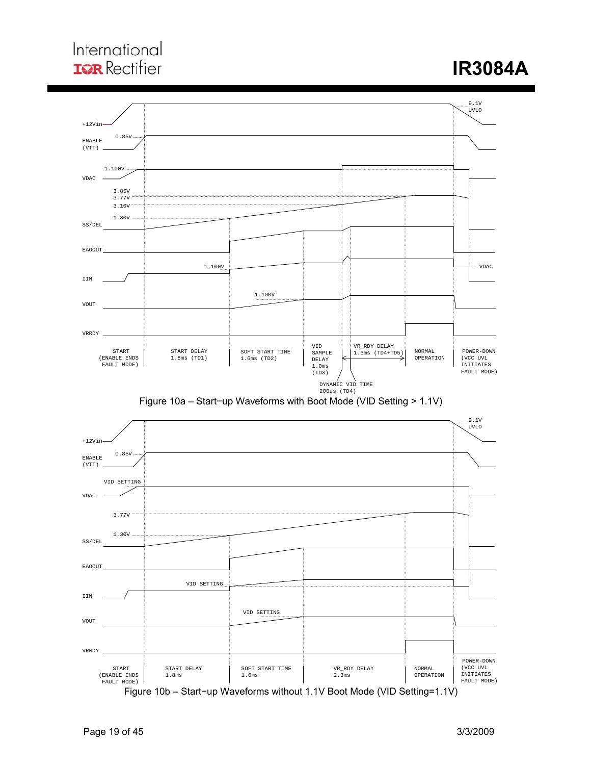







Figure 10b – Start−up Waveforms without 1.1V Boot Mode (VID Setting=1.1V)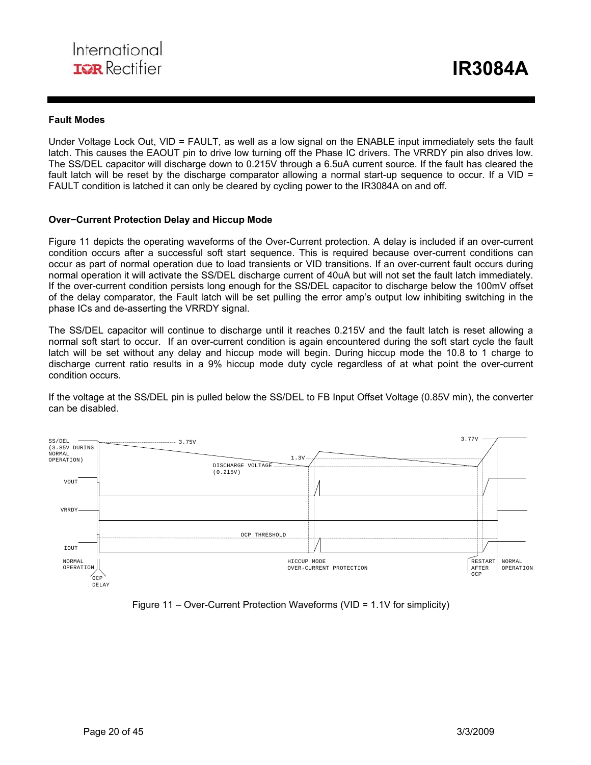#### **Fault Modes**

Under Voltage Lock Out, VID = FAULT, as well as a low signal on the ENABLE input immediately sets the fault latch. This causes the EAOUT pin to drive low turning off the Phase IC drivers. The VRRDY pin also drives low. The SS/DEL capacitor will discharge down to 0.215V through a 6.5uA current source. If the fault has cleared the fault latch will be reset by the discharge comparator allowing a normal start-up sequence to occur. If a VID = FAULT condition is latched it can only be cleared by cycling power to the IR3084A on and off.

#### **Over−Current Protection Delay and Hiccup Mode**

Figure 11 depicts the operating waveforms of the Over-Current protection. A delay is included if an over-current condition occurs after a successful soft start sequence. This is required because over-current conditions can occur as part of normal operation due to load transients or VID transitions. If an over-current fault occurs during normal operation it will activate the SS/DEL discharge current of 40uA but will not set the fault latch immediately. If the over-current condition persists long enough for the SS/DEL capacitor to discharge below the 100mV offset of the delay comparator, the Fault latch will be set pulling the error amp's output low inhibiting switching in the phase ICs and de-asserting the VRRDY signal.

The SS/DEL capacitor will continue to discharge until it reaches 0.215V and the fault latch is reset allowing a normal soft start to occur. If an over-current condition is again encountered during the soft start cycle the fault latch will be set without any delay and hiccup mode will begin. During hiccup mode the 10.8 to 1 charge to discharge current ratio results in a 9% hiccup mode duty cycle regardless of at what point the over-current condition occurs.

If the voltage at the SS/DEL pin is pulled below the SS/DEL to FB Input Offset Voltage (0.85V min), the converter can be disabled.



Figure 11 – Over-Current Protection Waveforms (VID = 1.1V for simplicity)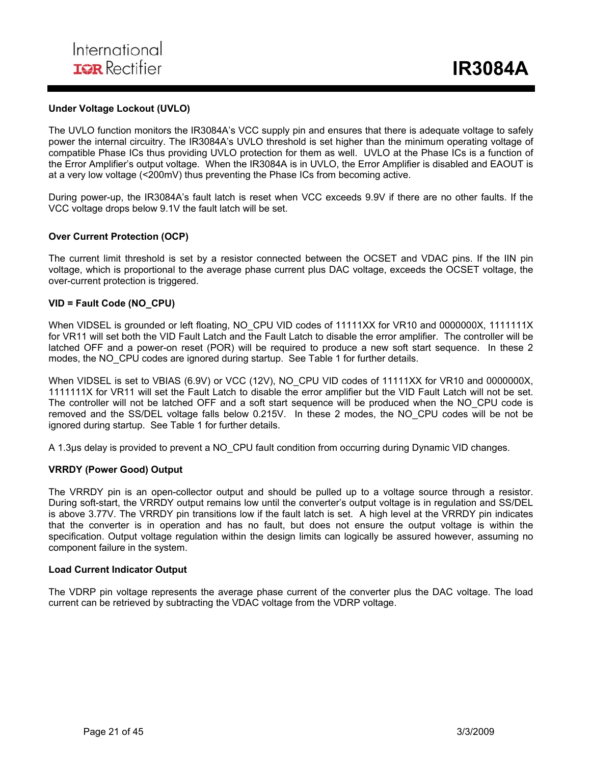#### **Under Voltage Lockout (UVLO)**

The UVLO function monitors the IR3084A's VCC supply pin and ensures that there is adequate voltage to safely power the internal circuitry. The IR3084A's UVLO threshold is set higher than the minimum operating voltage of compatible Phase ICs thus providing UVLO protection for them as well. UVLO at the Phase ICs is a function of the Error Amplifier's output voltage. When the IR3084A is in UVLO, the Error Amplifier is disabled and EAOUT is at a very low voltage (<200mV) thus preventing the Phase ICs from becoming active.

During power-up, the IR3084A's fault latch is reset when VCC exceeds 9.9V if there are no other faults. If the VCC voltage drops below 9.1V the fault latch will be set.

#### **Over Current Protection (OCP)**

The current limit threshold is set by a resistor connected between the OCSET and VDAC pins. If the IIN pin voltage, which is proportional to the average phase current plus DAC voltage, exceeds the OCSET voltage, the over-current protection is triggered.

#### **VID = Fault Code (NO\_CPU)**

When VIDSEL is grounded or left floating, NO CPU VID codes of 11111XX for VR10 and 0000000X, 1111111X for VR11 will set both the VID Fault Latch and the Fault Latch to disable the error amplifier. The controller will be latched OFF and a power-on reset (POR) will be required to produce a new soft start sequence. In these 2 modes, the NO\_CPU codes are ignored during startup. See Table 1 for further details.

When VIDSEL is set to VBIAS (6.9V) or VCC (12V), NO CPU VID codes of 11111XX for VR10 and 0000000X, 1111111X for VR11 will set the Fault Latch to disable the error amplifier but the VID Fault Latch will not be set. The controller will not be latched OFF and a soft start sequence will be produced when the NO\_CPU code is removed and the SS/DEL voltage falls below 0.215V. In these 2 modes, the NO\_CPU codes will be not be ignored during startup. See Table 1 for further details.

A 1.3µs delay is provided to prevent a NO CPU fault condition from occurring during Dynamic VID changes.

#### **VRRDY (Power Good) Output**

The VRRDY pin is an open-collector output and should be pulled up to a voltage source through a resistor. During soft-start, the VRRDY output remains low until the converter's output voltage is in regulation and SS/DEL is above 3.77V. The VRRDY pin transitions low if the fault latch is set. A high level at the VRRDY pin indicates that the converter is in operation and has no fault, but does not ensure the output voltage is within the specification. Output voltage regulation within the design limits can logically be assured however, assuming no component failure in the system.

#### **Load Current Indicator Output**

The VDRP pin voltage represents the average phase current of the converter plus the DAC voltage. The load current can be retrieved by subtracting the VDAC voltage from the VDRP voltage.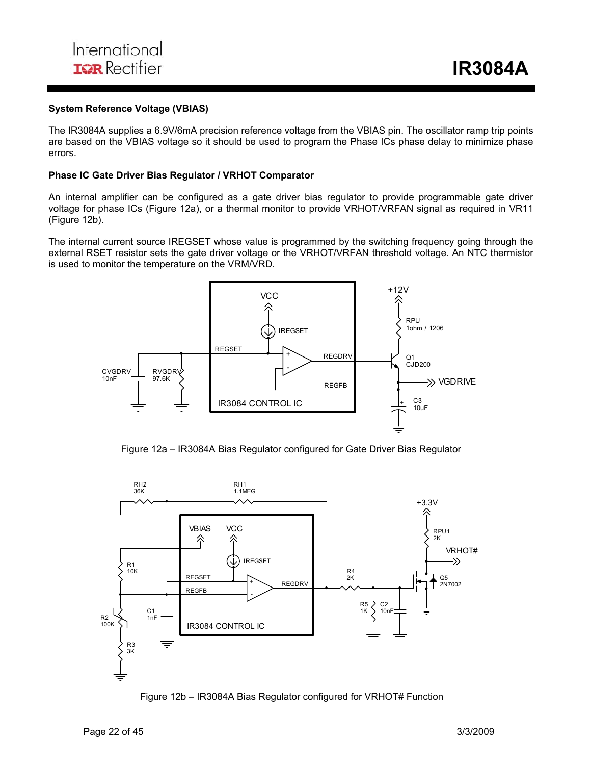#### **System Reference Voltage (VBIAS)**

The IR3084A supplies a 6.9V/6mA precision reference voltage from the VBIAS pin. The oscillator ramp trip points are based on the VBIAS voltage so it should be used to program the Phase ICs phase delay to minimize phase errors.

#### **Phase IC Gate Driver Bias Regulator / VRHOT Comparator**

An internal amplifier can be configured as a gate driver bias regulator to provide programmable gate driver voltage for phase ICs (Figure 12a), or a thermal monitor to provide VRHOT/VRFAN signal as required in VR11 (Figure 12b).

The internal current source IREGSET whose value is programmed by the switching frequency going through the external RSET resistor sets the gate driver voltage or the VRHOT/VRFAN threshold voltage. An NTC thermistor is used to monitor the temperature on the VRM/VRD.



Figure 12a – IR3084A Bias Regulator configured for Gate Driver Bias Regulator



Figure 12b – IR3084A Bias Regulator configured for VRHOT# Function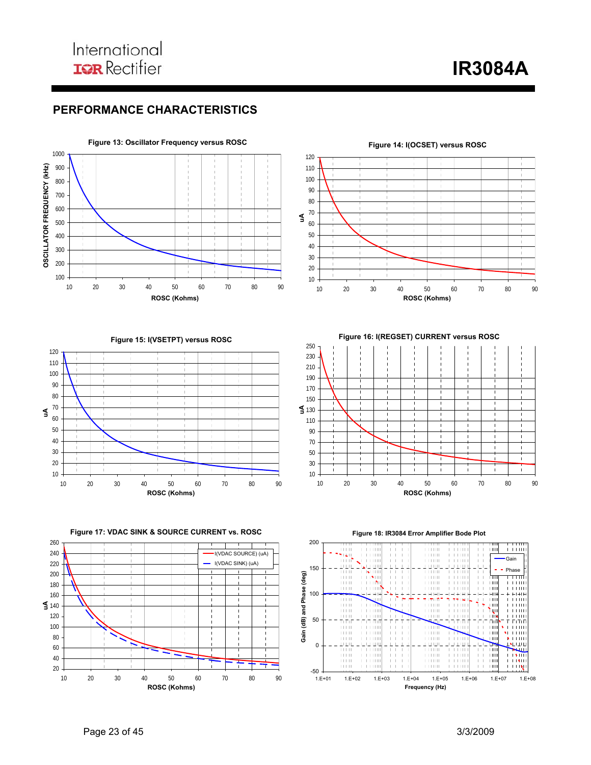**IR3084A** 

## **PERFORMANCE CHARACTERISTICS**





**Figure 15: I(VSETPT) versus ROSC**



**Figure 16: I(REGSET) CURRENT versus ROSC**





**Figure 18: IR3084 Error Amplifier Bode Plot**

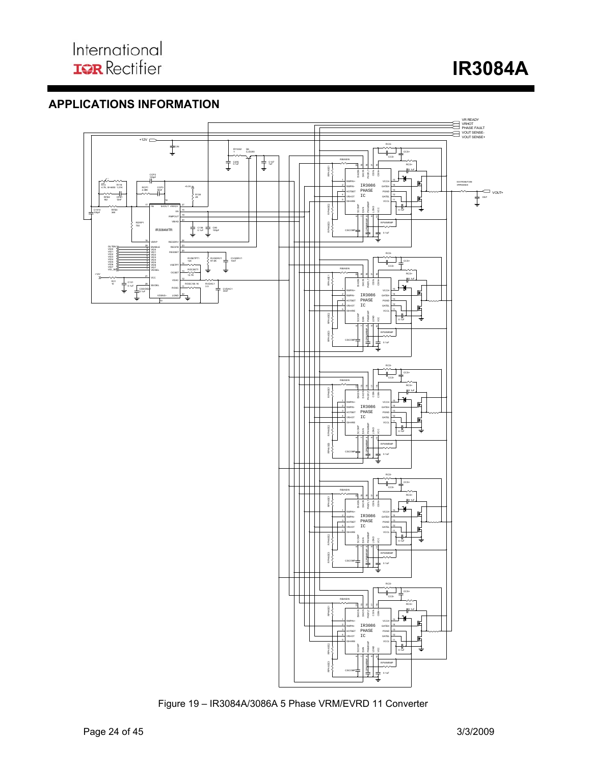## **APPLICATIONS INFORMATION**



Figure 19 – IR3084A/3086A 5 Phase VRM/EVRD 11 Converter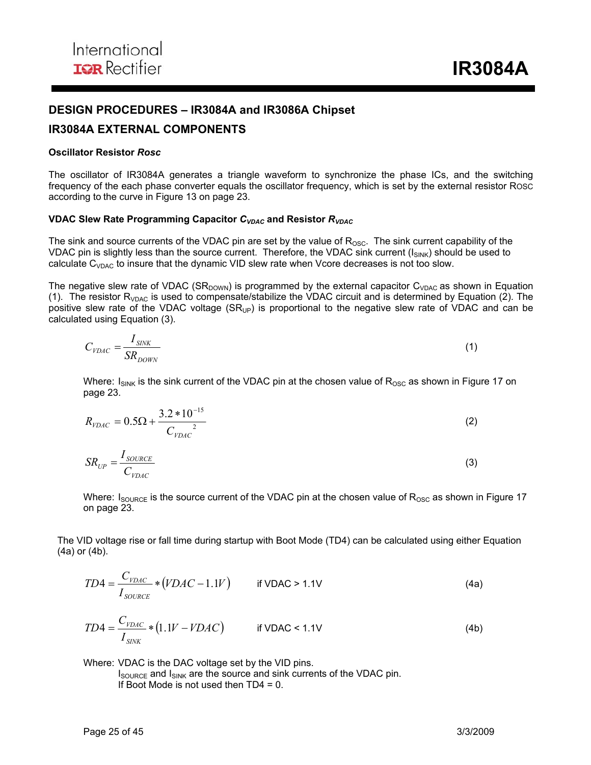## **DESIGN PROCEDURES – IR3084A and IR3086A Chipset**

## **IR3084A EXTERNAL COMPONENTS**

#### **Oscillator Resistor** *Rosc*

The oscillator of IR3084A generates a triangle waveform to synchronize the phase ICs, and the switching frequency of the each phase converter equals the oscillator frequency, which is set by the external resistor ROSC according to the curve in Figure 13 on page 23.

#### **VDAC Slew Rate Programming Capacitor** *CVDAC* **and Resistor** *RVDAC*

The sink and source currents of the VDAC pin are set by the value of  $R_{\text{OSC}}$ . The sink current capability of the VDAC pin is slightly less than the source current. Therefore, the VDAC sink current  $(I_{\text{SINK}})$  should be used to calculate  $C_{VDAC}$  to insure that the dynamic VID slew rate when Vcore decreases is not too slow.

The negative slew rate of VDAC (SR<sub>DOWN</sub>) is programmed by the external capacitor C<sub>VDAC</sub> as shown in Equation (1). The resistor  $R_{VDAC}$  is used to compensate/stabilize the VDAC circuit and is determined by Equation (2). The positive slew rate of the VDAC voltage  $(SR_{UP})$  is proportional to the negative slew rate of VDAC and can be calculated using Equation (3).

$$
C_{\text{VDAC}} = \frac{I_{\text{SINK}}}{SR_{\text{DOWN}}} \tag{1}
$$

Where:  $I<sub>SINK</sub>$  is the sink current of the VDAC pin at the chosen value of  $R<sub>OSC</sub>$  as shown in Figure 17 on page 23.

$$
R_{\text{VDAC}} = 0.5\Omega + \frac{3.2 \times 10^{-15}}{C_{\text{VDAC}}^2} \tag{2}
$$

$$
SR_{UP} = \frac{I_{\text{SOURCE}}}{C_{\text{VDAC}}} \tag{3}
$$

Where:  $I_{\text{SOLRE}}$  is the source current of the VDAC pin at the chosen value of  $R_{\text{OSC}}$  as shown in Figure 17 on page 23.

The VID voltage rise or fall time during startup with Boot Mode (TD4) can be calculated using either Equation (4a) or (4b).

$$
TD4 = \frac{C_{\text{VDAC}}}{I_{\text{SOLRCE}}} * (VDAC - 1.1V) \qquad \text{if VDAC} > 1.1V \tag{4a}
$$

$$
TD4 = \frac{C_{VDAC}}{I_{SNK}} * (1.1V - VDAC) \qquad \text{if VDAC} < 1.1V \tag{4b}
$$

 Where: VDAC is the DAC voltage set by the VID pins.  $I_{\text{SOWRCE}}$  and  $I_{\text{SINK}}$  are the source and sink currents of the VDAC pin. If Boot Mode is not used then TD4 = 0.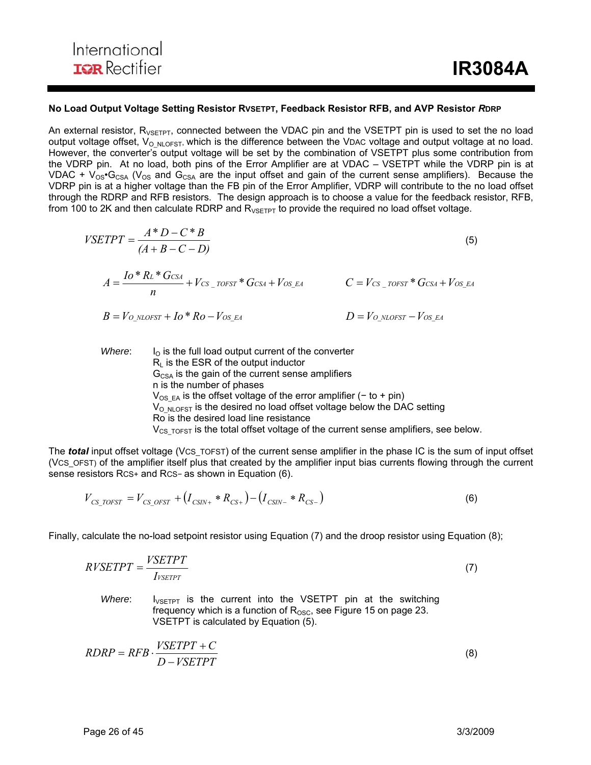#### **No Load Output Voltage Setting Resistor RVSETPT, Feedback Resistor RFB, and AVP Resistor** *R***DRP**

An external resistor,  $R_{VSETPT}$ , connected between the VDAC pin and the VSETPT pin is used to set the no load output voltage offset,  $V_{\text{O-NLOFST}}$ , which is the difference between the VDAC voltage and output voltage at no load. However, the converter's output voltage will be set by the combination of VSETPT plus some contribution from the VDRP pin. At no load, both pins of the Error Amplifier are at VDAC – VSETPT while the VDRP pin is at VDAC +  $V_{OS}$ <sup>+</sup>G<sub>CSA</sub> ( $V_{OS}$  and G<sub>CSA</sub> are the input offset and gain of the current sense amplifiers). Because the VDRP pin is at a higher voltage than the FB pin of the Error Amplifier, VDRP will contribute to the no load offset through the RDRP and RFB resistors. The design approach is to choose a value for the feedback resistor, RFB, from 100 to 2K and then calculate RDRP and  $R_{VSETPT}$  to provide the required no load offset voltage.

$$
VSETPT = \frac{A*D - C*B}{(A+B-C-D)}
$$
\n
$$
A = \frac{Io*KL*C_{CSA}}{n} + V_{CS\_TOFST} * G_{CSA} + V_{OS\_EA}
$$
\n
$$
C = V_{CS\_TOFST} * G_{CSA} + V_{OS\_EA}
$$
\n
$$
D = V_{O NLOFST} - V_{OS\_EA}
$$
\n(5)

*Where*:  $I_0$  is the full load output current of the converter  $R<sub>l</sub>$  is the ESR of the output inductor  $G<sub>CSA</sub>$  is the gain of the current sense amplifiers n is the number of phases  $V_{OS,EA}$  is the offset voltage of the error amplifier (− to + pin)  $V_{\text{O-NLOFST}}$  is the desired no load offset voltage below the DAC setting Ro is the desired load line resistance  $V_{CS,TOFST}$  is the total offset voltage of the current sense amplifiers, see below.

The *total* input offset voltage (VCS\_TOFST) of the current sense amplifier in the phase IC is the sum of input offset (VCS\_OFST) of the amplifier itself plus that created by the amplifier input bias currents flowing through the current sense resistors Rcs+ and Rcs- as shown in Equation (6).

$$
V_{CS\_TOFST} = V_{CS\_OFST} + (I_{CSIN+} * R_{CS+}) - (I_{CSIN-} * R_{CS-})
$$
\n(6)

Finally, calculate the no-load setpoint resistor using Equation (7) and the droop resistor using Equation (8);

$$
RVSETPT = \frac{VSETPT}{I_{VSETPT}}\tag{7}
$$

*Where*: I<sub>VSETPT</sub> is the current into the VSETPT pin at the switching frequency which is a function of  $R_{\rm OSC}$ , see Figure 15 on page 23. VSETPT is calculated by Equation (5).

$$
RDRP = RFB \cdot \frac{VSETPT + C}{D - VSETPT}
$$
\n(8)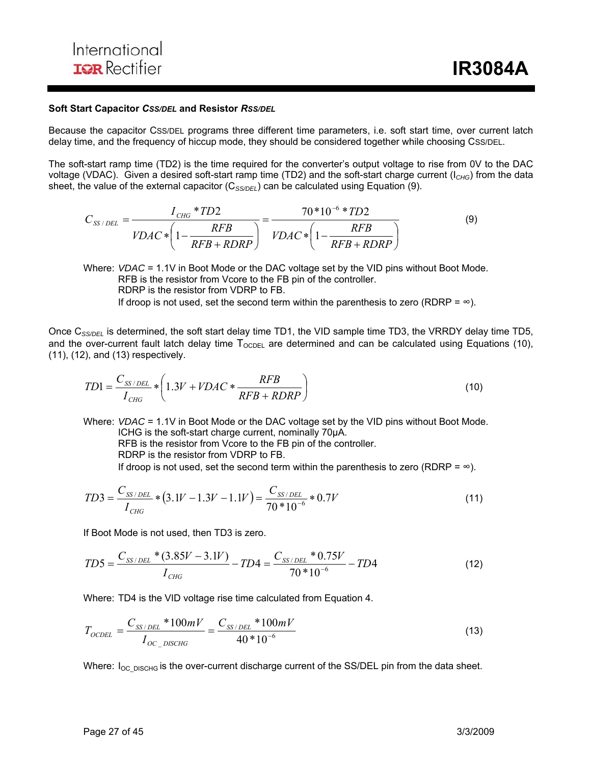#### **Soft Start Capacitor** *CSS/DEL* **and Resistor** *RSS/DEL*

Because the capacitor CSS/DEL programs three different time parameters, i.e. soft start time, over current latch delay time, and the frequency of hiccup mode, they should be considered together while choosing CSS/DEL.

The soft-start ramp time (TD2) is the time required for the converter's output voltage to rise from 0V to the DAC voltage (VDAC). Given a desired soft-start ramp time (TD2) and the soft-start charge current (I*CHG*) from the data sheet, the value of the external capacitor (C<sub>SS/DEL</sub>) can be calculated using Equation (9).

$$
C_{SS/DEL} = \frac{I_{CHG} * TD2}{VDAC * \left(1 - \frac{RFB}{RFB + RDRP}\right)} = \frac{70 * 10^{-6} * TD2}{VDAC * \left(1 - \frac{RFB}{RFB + RDRP}\right)}
$$
(9)

Where: *VDAC* = 1.1V in Boot Mode or the DAC voltage set by the VID pins without Boot Mode. RFB is the resistor from Vcore to the FB pin of the controller. RDRP is the resistor from VDRP to FB. If droop is not used, set the second term within the parenthesis to zero (RDRP =  $\infty$ ).

Once C*SS/DEL* is determined, the soft start delay time TD1, the VID sample time TD3, the VRRDY delay time TD5, and the over-current fault latch delay time  $T_{\text{OCDEL}}$  are determined and can be calculated using Equations (10), (11), (12), and (13) respectively.

$$
TD1 = \frac{C_{SS/DEL}}{I_{CHG}} * \left(1.3V + VDAC * \frac{RFB}{RFB + RDRP}\right)
$$
\n(10)

Where: *VDAC* = 1.1V in Boot Mode or the DAC voltage set by the VID pins without Boot Mode. ICHG is the soft-start charge current, nominally 70µA. RFB is the resistor from Vcore to the FB pin of the controller. RDRP is the resistor from VDRP to FB. If droop is not used, set the second term within the parenthesis to zero (RDRP =  $\infty$ ).

$$
TD3 = \frac{C_{SS/DEL}}{I_{CHG}} * (3.1V - 1.3V - 1.1V) = \frac{C_{SS/DEL}}{70 * 10^{-6}} * 0.7V
$$
\n(11)

If Boot Mode is not used, then TD3 is zero.

$$
TD5 = \frac{C_{SS/DEL} * (3.85V - 3.1V)}{I_{CHG}} - TD4 = \frac{C_{SS/DEL} * 0.75V}{70 * 10^{-6}} - TD4
$$
\n(12)

Where: TD4 is the VID voltage rise time calculated from Equation 4.

$$
T_{OCDEL} = \frac{C_{SS/DEL} * 100mV}{I_{OC\_DISCHG}} = \frac{C_{SS/DEL} * 100mV}{40 * 10^{-6}}
$$
(13)

Where:  $I_{OC-DISCHG}$  is the over-current discharge current of the SS/DEL pin from the data sheet.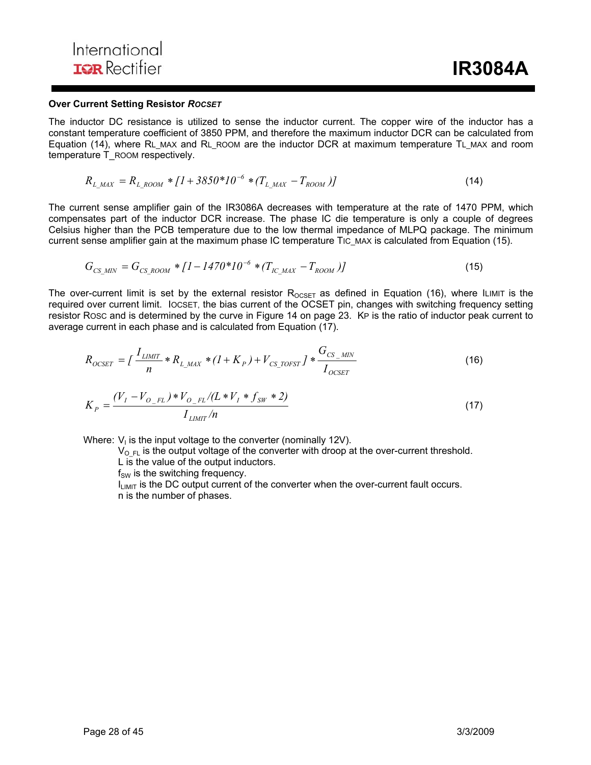#### **Over Current Setting Resistor** *ROCSET*

The inductor DC resistance is utilized to sense the inductor current. The copper wire of the inductor has a constant temperature coefficient of 3850 PPM, and therefore the maximum inductor DCR can be calculated from Equation (14), where RL\_MAX and RL\_ROOM are the inductor DCR at maximum temperature TL\_MAX and room temperature T\_ROOM respectively.

$$
R_{L\ \,MAX} = R_{L\ \, Room} * [1 + 3850 * 10^{-6} * (T_{L\ \,MAX} - T_{ROM})]
$$
\n<sup>(14)</sup>

The current sense amplifier gain of the IR3086A decreases with temperature at the rate of 1470 PPM, which compensates part of the inductor DCR increase. The phase IC die temperature is only a couple of degrees Celsius higher than the PCB temperature due to the low thermal impedance of MLPQ package. The minimum current sense amplifier gain at the maximum phase IC temperature TIC MAX is calculated from Equation (15).

$$
G_{CS\_MIN} = G_{CS\_ROOM} * [1 - 1470 * 10^{-6} * (T_{IC\_MAX} - T_{ROOM})]
$$
(15)

The over-current limit is set by the external resistor  $R_{OCSET}$  as defined in Equation (16), where ILIMIT is the required over current limit. IOCSET, the bias current of the OCSET pin, changes with switching frequency setting resistor ROSC and is determined by the curve in Figure 14 on page 23. KP is the ratio of inductor peak current to average current in each phase and is calculated from Equation (17).

$$
R_{OCSET} = \int \frac{I_{LIMIT}}{n} * R_{L\_MAX} * (1 + K_P) + V_{CS\_TOFST} \int * \frac{G_{CS\_MIN}}{I_{OCSET}}
$$
\n
$$
K_P = \frac{(V_I - V_{O\_FL}) * V_{O\_FL}/(L * V_I * f_{SW} * 2)}{I_{LIMIT}/n}
$$
\n(17)

Where:  $V_1$  is the input voltage to the converter (nominally 12V).

 $V_{\text{O-FL}}$  is the output voltage of the converter with droop at the over-current threshold.

L is the value of the output inductors.

 $f_{SW}$  is the switching frequency.

 $I_{LIMIT}$  is the DC output current of the converter when the over-current fault occurs. n is the number of phases.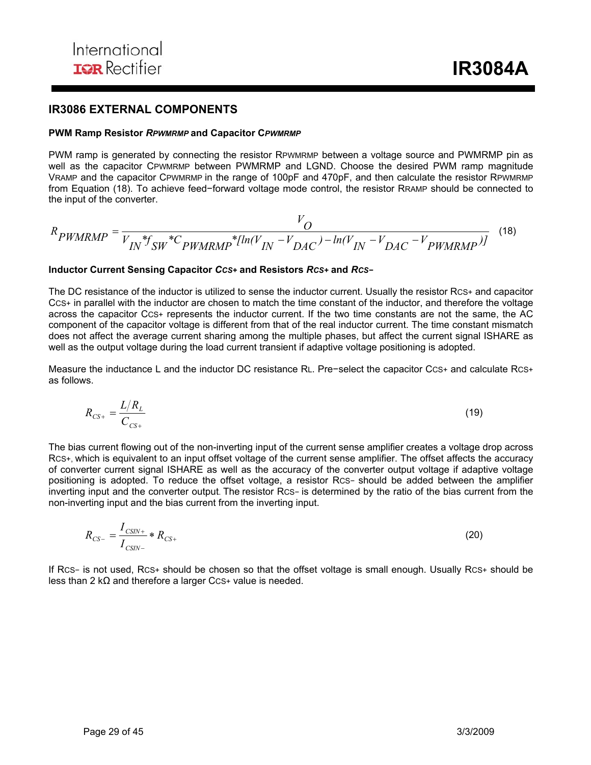### **IR3086 EXTERNAL COMPONENTS**

#### **PWM Ramp Resistor** *RPWMRMP* **and Capacitor C***PWMRMP*

PWM ramp is generated by connecting the resistor RPWMRMP between a voltage source and PWMRMP pin as well as the capacitor CPWMRMP between PWMRMP and LGND. Choose the desired PWM ramp magnitude VRAMP and the capacitor CPWMRMP in the range of 100pF and 470pF, and then calculate the resistor RPWMRMP from Equation (18). To achieve feed−forward voltage mode control, the resistor RRAMP should be connected to the input of the converter.

$$
R_{PWMRMP} = \frac{V_O}{V_{IN} * f_{SW} * C_{PWMRMP} * [ln(V_{IN} - V_{DAC}) - ln(V_{IN} - V_{DAC} - V_{PWMRMP})]}
$$
(18)

#### **Inductor Current Sensing Capacitor** *CCS+* **and Resistors** *RCS+* **and** *RCS−*

The DC resistance of the inductor is utilized to sense the inductor current. Usually the resistor RCS+ and capacitor CCS+ in parallel with the inductor are chosen to match the time constant of the inductor, and therefore the voltage across the capacitor CCS+ represents the inductor current. If the two time constants are not the same, the AC component of the capacitor voltage is different from that of the real inductor current. The time constant mismatch does not affect the average current sharing among the multiple phases, but affect the current signal ISHARE as well as the output voltage during the load current transient if adaptive voltage positioning is adopted.

Measure the inductance L and the inductor DC resistance RL. Pre−select the capacitor CCS+ and calculate RCS+ as follows.

$$
R_{CS+} = \frac{L/R_L}{C_{CS+}}\tag{19}
$$

The bias current flowing out of the non-inverting input of the current sense amplifier creates a voltage drop across RCS+, which is equivalent to an input offset voltage of the current sense amplifier. The offset affects the accuracy of converter current signal ISHARE as well as the accuracy of the converter output voltage if adaptive voltage positioning is adopted. To reduce the offset voltage, a resistor RCS− should be added between the amplifier inverting input and the converter output. The resistor RCS− is determined by the ratio of the bias current from the non-inverting input and the bias current from the inverting input.

$$
R_{CS-} = \frac{I_{CSIN+}}{I_{CSIN-}} * R_{CS+}
$$
 (20)

If RCS− is not used, RCS+ should be chosen so that the offset voltage is small enough. Usually RCS+ should be less than 2 kΩ and therefore a larger CCS+ value is needed.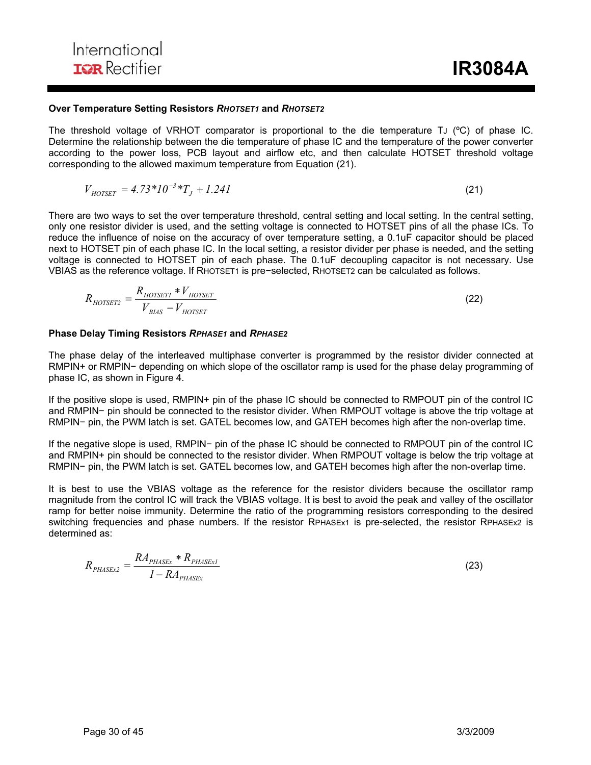#### **Over Temperature Setting Resistors** *RHOTSET1* **and** *RHOTSET2*

The threshold voltage of VRHOT comparator is proportional to the die temperature TJ (°C) of phase IC. Determine the relationship between the die temperature of phase IC and the temperature of the power converter according to the power loss, PCB layout and airflow etc, and then calculate HOTSET threshold voltage corresponding to the allowed maximum temperature from Equation (21).

$$
V_{HOTSET} = 4.73*10^{-3}*T_J + 1.241
$$
\n(21)

There are two ways to set the over temperature threshold, central setting and local setting. In the central setting, only one resistor divider is used, and the setting voltage is connected to HOTSET pins of all the phase ICs. To reduce the influence of noise on the accuracy of over temperature setting, a 0.1uF capacitor should be placed next to HOTSET pin of each phase IC. In the local setting, a resistor divider per phase is needed, and the setting voltage is connected to HOTSET pin of each phase. The 0.1uF decoupling capacitor is not necessary. Use VBIAS as the reference voltage. If RHOTSET1 is pre−selected, RHOTSET2 can be calculated as follows.

$$
R_{HOTSET2} = \frac{R_{HOTSET1} * V_{HOTSET}}{V_{BLAS} - V_{HOTSET}}\tag{22}
$$

#### **Phase Delay Timing Resistors** *RPHASE1* **and** *RPHASE2*

The phase delay of the interleaved multiphase converter is programmed by the resistor divider connected at RMPIN+ or RMPIN− depending on which slope of the oscillator ramp is used for the phase delay programming of phase IC, as shown in Figure 4.

If the positive slope is used, RMPIN+ pin of the phase IC should be connected to RMPOUT pin of the control IC and RMPIN− pin should be connected to the resistor divider. When RMPOUT voltage is above the trip voltage at RMPIN− pin, the PWM latch is set. GATEL becomes low, and GATEH becomes high after the non-overlap time.

If the negative slope is used, RMPIN− pin of the phase IC should be connected to RMPOUT pin of the control IC and RMPIN+ pin should be connected to the resistor divider. When RMPOUT voltage is below the trip voltage at RMPIN− pin, the PWM latch is set. GATEL becomes low, and GATEH becomes high after the non-overlap time.

It is best to use the VBIAS voltage as the reference for the resistor dividers because the oscillator ramp magnitude from the control IC will track the VBIAS voltage. It is best to avoid the peak and valley of the oscillator ramp for better noise immunity. Determine the ratio of the programming resistors corresponding to the desired switching frequencies and phase numbers. If the resistor RPHASEx1 is pre-selected, the resistor RPHASEx2 is determined as:

$$
R_{\text{PHASEx2}} = \frac{RA_{\text{PHASEx}} * R_{\text{PHASEx1}}}{1 - RA_{\text{PHASEx}}}
$$
\n(23)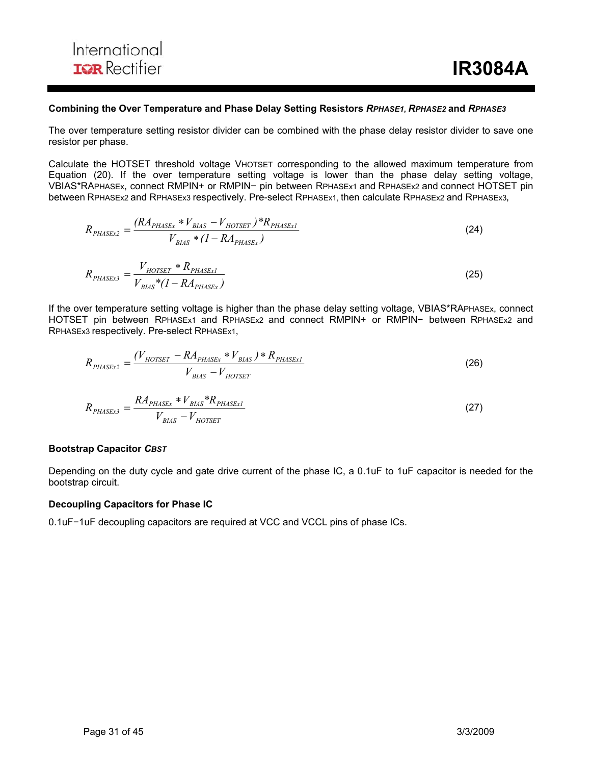#### **Combining the Over Temperature and Phase Delay Setting Resistors** *RPHASE1***,** *RPHASE2* **and** *RPHASE3*

The over temperature setting resistor divider can be combined with the phase delay resistor divider to save one resistor per phase.

Calculate the HOTSET threshold voltage VHOTSET corresponding to the allowed maximum temperature from Equation (20). If the over temperature setting voltage is lower than the phase delay setting voltage, VBIAS\*RAPHASEx, connect RMPIN+ or RMPIN− pin between RPHASEx1 and RPHASEx2 and connect HOTSET pin between RPHASEx2 and RPHASEx3 respectively. Pre-select RPHASEx1, then calculate RPHASEx2 and RPHASEx3**,** 

$$
R_{PHASEx2} = \frac{(RA_{PHASEx} * V_{BIAS} - V_{HOTSET}) * R_{PHASEx1}}{V_{BIAS} * (1 - RA_{PHASEx})}
$$
(24)

$$
R_{PHASEx3} = \frac{V_{HOTSET} * R_{PHASEx1}}{V_{BLS} * (1 - RA_{PHASEx})}
$$
(25)

If the over temperature setting voltage is higher than the phase delay setting voltage, VBIAS\*RAPHASEx, connect HOTSET pin between RPHASEx1 and RPHASEx2 and connect RMPIN+ or RMPIN− between RPHASEx2 and RPHASEx3 respectively. Pre-select RPHASEx1,

$$
R_{PHASEx2} = \frac{(V_{HOTSET} - RA_{PHASEx} * V_{BIAS}) * R_{PHASEx1}}{V_{BIAS} - V_{HOTSET}}
$$
(26)

$$
R_{PHASEx3} = \frac{RA_{PHASEx} * V_{BIAS} * R_{PHASEx1}}{V_{BIAS} - V_{HOTSET}}
$$
\n(27)

#### **Bootstrap Capacitor** *CBST*

Depending on the duty cycle and gate drive current of the phase IC, a 0.1uF to 1uF capacitor is needed for the bootstrap circuit.

#### **Decoupling Capacitors for Phase IC**

0.1uF−1uF decoupling capacitors are required at VCC and VCCL pins of phase ICs.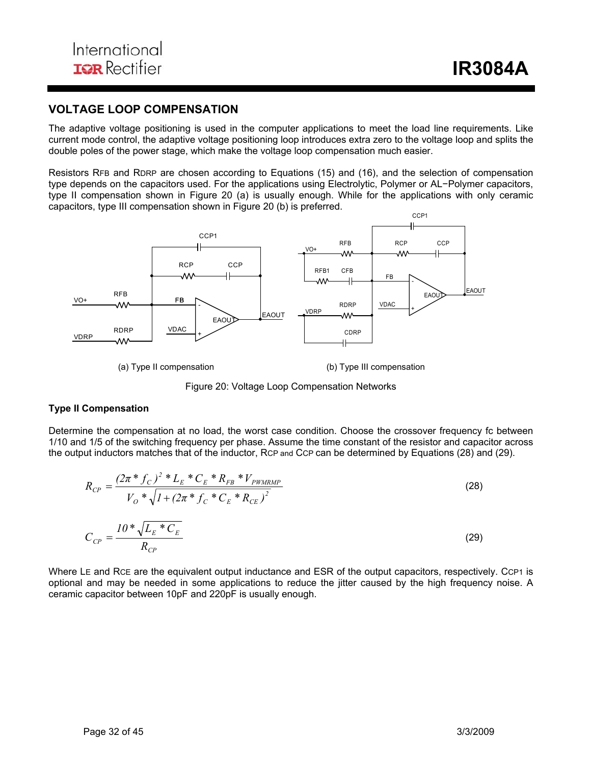## **VOLTAGE LOOP COMPENSATION**

The adaptive voltage positioning is used in the computer applications to meet the load line requirements. Like current mode control, the adaptive voltage positioning loop introduces extra zero to the voltage loop and splits the double poles of the power stage, which make the voltage loop compensation much easier.

Resistors RFB and RDRP are chosen according to Equations (15) and (16), and the selection of compensation type depends on the capacitors used. For the applications using Electrolytic, Polymer or AL−Polymer capacitors, type II compensation shown in Figure 20 (a) is usually enough. While for the applications with only ceramic capacitors, type III compensation shown in Figure 20 (b) is preferred.



Figure 20: Voltage Loop Compensation Networks

#### **Type II Compensation**

Determine the compensation at no load, the worst case condition. Choose the crossover frequency fc between 1/10 and 1/5 of the switching frequency per phase. Assume the time constant of the resistor and capacitor across the output inductors matches that of the inductor, RCP and CCP can be determined by Equations (28) and (29).

$$
R_{CP} = \frac{(2\pi * f_C)^2 * L_E * C_E * R_{FB} * V_{PWMRMP}}{V_O * \sqrt{I + (2\pi * f_C * C_E * R_{CE})^2}}
$$
(28)  

$$
C_{CP} = \frac{I0 * \sqrt{L_E * C_E}}{R_{CP}}
$$
(29)

Where LE and RCE are the equivalent output inductance and ESR of the output capacitors, respectively. CCP1 is optional and may be needed in some applications to reduce the jitter caused by the high frequency noise. A ceramic capacitor between 10pF and 220pF is usually enough.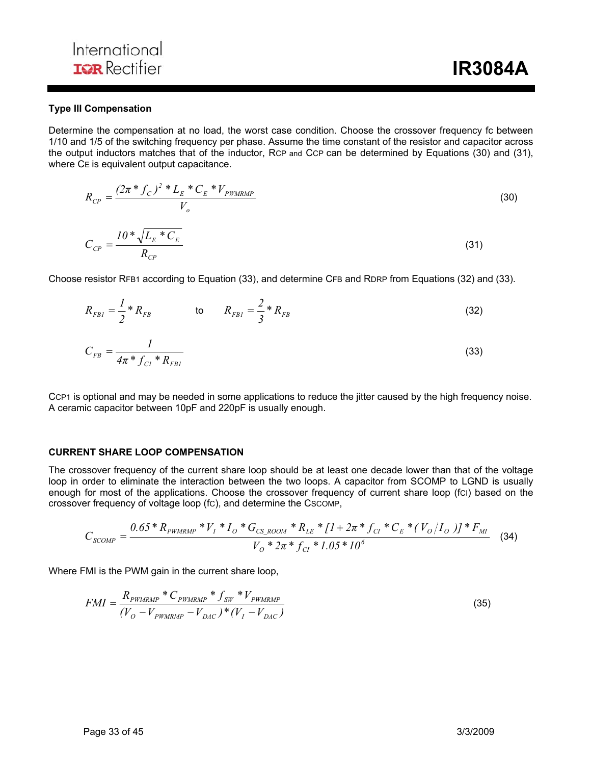#### **Type III Compensation**

Determine the compensation at no load, the worst case condition. Choose the crossover frequency fc between 1/10 and 1/5 of the switching frequency per phase. Assume the time constant of the resistor and capacitor across the output inductors matches that of the inductor, RCP and CCP can be determined by Equations (30) and (31), where CE is equivalent output capacitance.

$$
R_{CP} = \frac{(2\pi * f_C)^2 * L_E * C_E * V_{PWMRMP}}{V_o}
$$
(30)  

$$
C_{CP} = \frac{10 * \sqrt{L_E * C_E}}{R_{CP}}
$$

Choose resistor RFB1 according to Equation (33), and determine CFB and RDRP from Equations (32) and (33).

$$
R_{FBI} = \frac{1}{2} * R_{FB} \qquad \qquad \text{to} \qquad R_{FBI} = \frac{2}{3} * R_{FB} \qquad \qquad (32)
$$

$$
C_{FB} = \frac{1}{4\pi \, ^{*} f_{Cl} \, ^{*} R_{FBI}} \tag{33}
$$

CCP1 is optional and may be needed in some applications to reduce the jitter caused by the high frequency noise. A ceramic capacitor between 10pF and 220pF is usually enough.

#### **CURRENT SHARE LOOP COMPENSATION**

The crossover frequency of the current share loop should be at least one decade lower than that of the voltage loop in order to eliminate the interaction between the two loops. A capacitor from SCOMP to LGND is usually enough for most of the applications. Choose the crossover frequency of current share loop (fCI) based on the crossover frequency of voltage loop (fC), and determine the CSCOMP,

$$
C_{SCOMP} = \frac{0.65 * R_{PWMRMP} * V_I * I_O * G_{CS\_ROOM} * R_{LE} * [1 + 2\pi * f_{CI} * C_E * (V_O/I_O)] * F_{MI}}{V_O * 2\pi * f_{CI} * 1.05 * 10^6}
$$
(34)

Where FMI is the PWM gain in the current share loop,

$$
FMI = \frac{R_{\text{PWMRMP}} \cdot C_{\text{PWMRMP}} \cdot f_{\text{SW}} \cdot V_{\text{PWMRMP}}}{(V_O - V_{\text{PWMRMP}} - V_{\text{DAC}}) \cdot V(I - V_{\text{DAC}})} \tag{35}
$$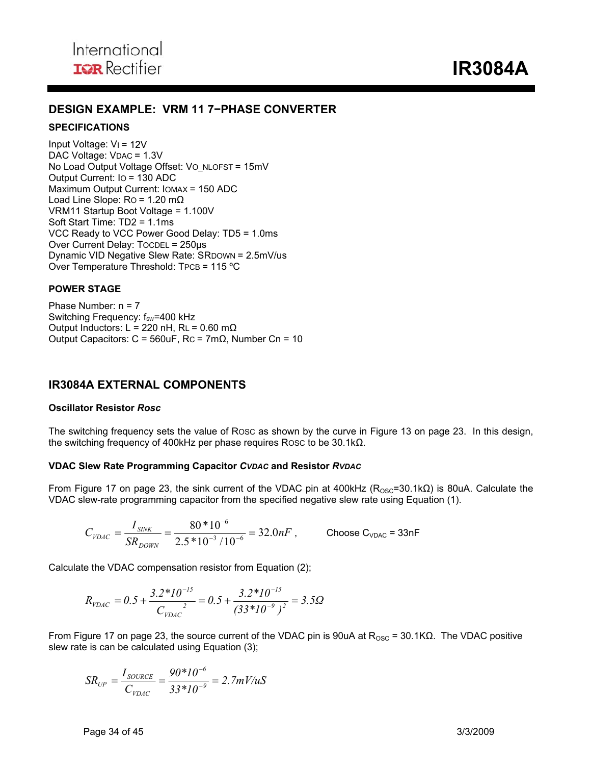## **DESIGN EXAMPLE: VRM 11 7−PHASE CONVERTER**

#### **SPECIFICATIONS**

Input Voltage: VI = 12V DAC Voltage: VDAC = 1.3V No Load Output Voltage Offset: Vo\_NLOFST = 15mV Output Current: IO = 130 ADC Maximum Output Current: IOMAX = 150 ADC Load Line Slope:  $Ro = 1.20 \text{ m}\Omega$ VRM11 Startup Boot Voltage = 1.100V Soft Start Time: TD2 = 1.1ms VCC Ready to VCC Power Good Delay: TD5 = 1.0ms Over Current Delay: TOCDEL = 250µs Dynamic VID Negative Slew Rate: SRDOWN = 2.5mV/us Over Temperature Threshold: TPCB = 115 ºC

#### **POWER STAGE**

Phase Number: n = 7 Switching Frequency: f<sub>sw</sub>=400 kHz Output Inductors: L = 220 nH, RL =  $0.60$  m $\Omega$ Output Capacitors:  $C = 560$ uF, Rc = 7m $\Omega$ , Number Cn = 10

## **IR3084A EXTERNAL COMPONENTS**

#### **Oscillator Resistor** *Rosc*

The switching frequency sets the value of ROSC as shown by the curve in Figure 13 on page 23. In this design, the switching frequency of 400kHz per phase requires ROSC to be 30.1kΩ.

#### **VDAC Slew Rate Programming Capacitor** *CVDAC* **and Resistor** *RVDAC*

From Figure 17 on page 23, the sink current of the VDAC pin at 400kHz ( $R_{\text{OSC}}$ =30.1kΩ) is 80uA. Calculate the VDAC slew-rate programming capacitor from the specified negative slew rate using Equation (1).

$$
C_{\text{VDAC}} = \frac{I_{\text{SINK}}}{SR_{\text{DOWN}}} = \frac{80 * 10^{-6}}{2.5 * 10^{-3} / 10^{-6}} = 32.0 nF , \quad \text{Choose C}_{\text{VDAC}} = 33 nF
$$

Calculate the VDAC compensation resistor from Equation (2);

$$
R_{\text{VDAC}} = 0.5 + \frac{3.2 \times 10^{-15}}{C_{\text{VDAC}}} = 0.5 + \frac{3.2 \times 10^{-15}}{(33 \times 10^{-9})^2} = 3.5 \Omega
$$

From Figure 17 on page 23, the source current of the VDAC pin is 90uA at  $R_{\text{OSC}}$  = 30.1KΩ. The VDAC positive slew rate is can be calculated using Equation (3);

$$
SR_{UP} = \frac{I_{\text{SOLRCE}}}{C_{\text{VDAC}}} = \frac{90*10^{-6}}{33*10^{-9}} = 2.7 \text{mV/uS}
$$

Page 34 of 45 3/3/2009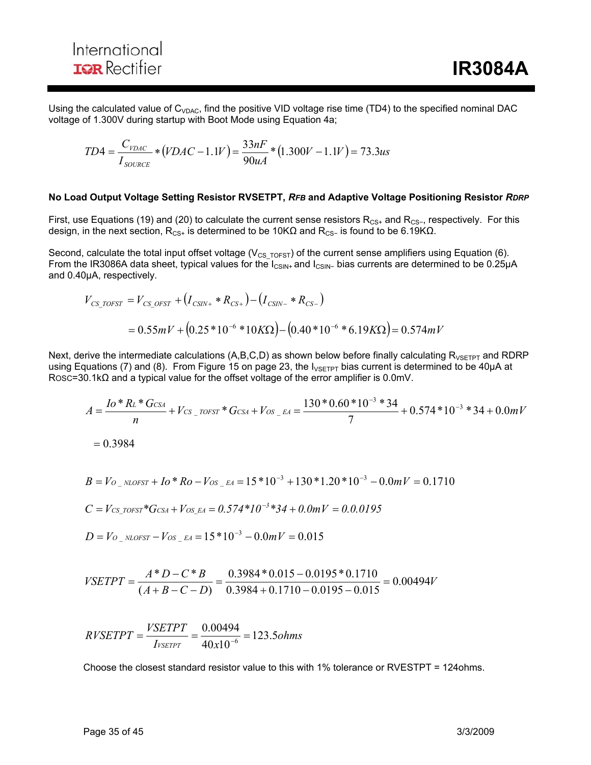Using the calculated value of  $C_{VDAG}$ , find the positive VID voltage rise time (TD4) to the specified nominal DAC voltage of 1.300V during startup with Boot Mode using Equation 4a;

$$
TD4 = \frac{C_{\text{VDAC}}}{I_{\text{SOLICE}}} * (VDAC - 1.1V) = \frac{33nF}{90uA} * (1.300V - 1.1V) = 73.3us
$$

#### **No Load Output Voltage Setting Resistor RVSETPT,** *RFB* **and Adaptive Voltage Positioning Resistor** *RDRP*

First, use Equations (19) and (20) to calculate the current sense resistors R<sub>CS+</sub> and R<sub>CS−</sub>, respectively. For this design, in the next section, R<sub>CS+</sub> is determined to be 10KΩ and R<sub>CS</sub>- is found to be 6.19KΩ.

Second, calculate the total input offset voltage ( $V_{CS\_TOFST}$ ) of the current sense amplifiers using Equation (6). From the IR3086A data sheet, typical values for the I<sub>CSIN+</sub> and I<sub>CSIN</sub>- bias currents are determined to be 0.25µA and 0.40µA, respectively.

$$
V_{CS\_TOFST} = V_{CS\_OFST} + (I_{CSIN+} * R_{CS+}) - (I_{CSIN-} * R_{CS-})
$$
  
= 0.55mV + (0.25 \* 10<sup>-6</sup> \* 10KΩ) – (0.40 \* 10<sup>-6</sup> \* 6.19KΩ) = 0.574mV

Next, derive the intermediate calculations (A,B,C,D) as shown below before finally calculating  $R_{VSETPT}$  and RDRP using Equations (7) and (8). From Figure 15 on page 23, the  $I_{VSETPT}$  bias current is determined to be 40 $\mu$ A at ROSC=30.1kΩ and a typical value for the offset voltage of the error amplifier is 0.0mV.

$$
A = \frac{Io*RL * GCSA}{n} + VCS_{TOST} * GCSA + VOS_{EA} = \frac{130 * 0.60 * 10^{-3} * 34}{7} + 0.574 * 10^{-3} * 34 + 0.0 mV
$$

 $= 0.3984$ 

$$
B = V_{O_{N}} \text{NLOFST} + I_0 * R_0 - V_{OS_{N}} = A = 15 * 10^{-3} + 130 * 1.20 * 10^{-3} - 0.0 mV = 0.1710
$$

$$
C = V_{CS\_TOFST} * G_{CSA} + V_{OS\_EA} = 0.574 * 10^{-3} * 34 + 0.0 mV = 0.0.0195
$$

$$
D = V_{O_{N}} \text{NLOFST} - V_{OS_{N}} \text{A} = 15*10^{-3} - 0.0mV = 0.015
$$

$$
VSETPT = \frac{A*D - C*B}{(A+B-C-D)} = \frac{0.3984*0.015 - 0.0195*0.1710}{0.3984 + 0.1710 - 0.0195 - 0.015} = 0.00494V
$$

$$
RVSETPT = \frac{VSETPT}{I_{VSETPT}} = \frac{0.00494}{40 \times 10^{-6}} = 123.5 ohms
$$

Choose the closest standard resistor value to this with 1% tolerance or RVESTPT = 124ohms.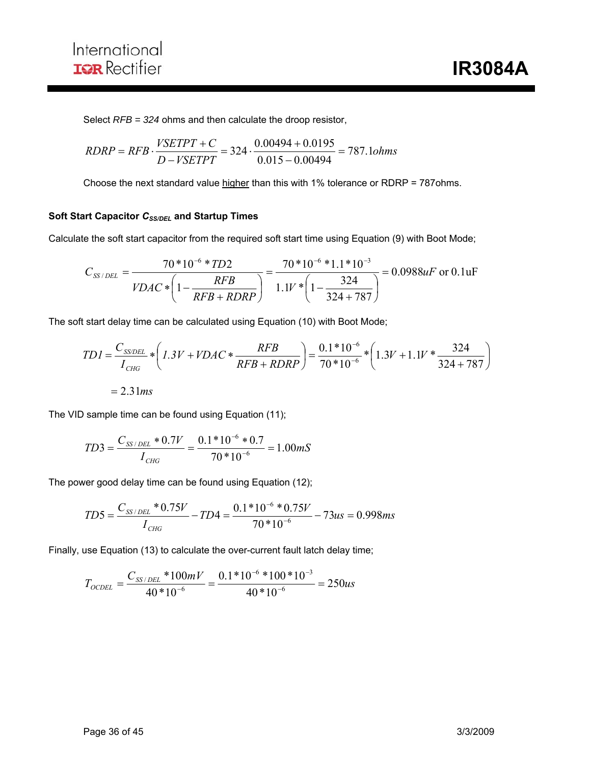Select *RFB = 324* ohms and then calculate the droop resistor,

$$
RDRP = RFB \cdot \frac{VSETPT + C}{D - VSETPT} = 324 \cdot \frac{0.00494 + 0.0195}{0.015 - 0.00494} = 787.1 ohms
$$

Choose the next standard value higher than this with 1% tolerance or RDRP = 787ohms.

#### **Soft Start Capacitor CSS/DEL** and Startup Times

Calculate the soft start capacitor from the required soft start time using Equation (9) with Boot Mode;

$$
C_{SS/DEL} = \frac{70*10^{-6}*TD2}{VDAC*\left(1-\frac{RFB}{RFB+RDRP}\right)} = \frac{70*10^{-6}*1.1*10^{-3}}{1.1V*\left(1-\frac{324}{324+787}\right)} = 0.0988uF \text{ or } 0.1uF
$$

The soft start delay time can be calculated using Equation (10) with Boot Mode;

$$
TDI = \frac{C_{SSDEL}}{I_{CHG}} * \left( 1.3V + VDAC * \frac{RFB}{RFB + RDRP} \right) = \frac{0.1 * 10^{-6}}{70 * 10^{-6}} * \left( 1.3V + 1.1V * \frac{324}{324 + 787} \right)
$$

$$
= 2.31ms
$$

The VID sample time can be found using Equation (11);

$$
TD3 = \frac{C_{SS/DEL} * 0.7V}{I_{CHG}} = \frac{0.1 * 10^{-6} * 0.7}{70 * 10^{-6}} = 1.00 mS
$$

The power good delay time can be found using Equation (12);

$$
TD5 = \frac{C_{SS/DEL} * 0.75V}{I_{CHG}} - TD4 = \frac{0.1 * 10^{-6} * 0.75V}{70 * 10^{-6}} - 73us = 0.998ms
$$

Finally, use Equation (13) to calculate the over-current fault latch delay time;

$$
T_{OCDEL} = \frac{C_{SS/DEL} * 100mV}{40 * 10^{-6}} = \frac{0.1 * 10^{-6} * 100 * 10^{-3}}{40 * 10^{-6}} = 250us
$$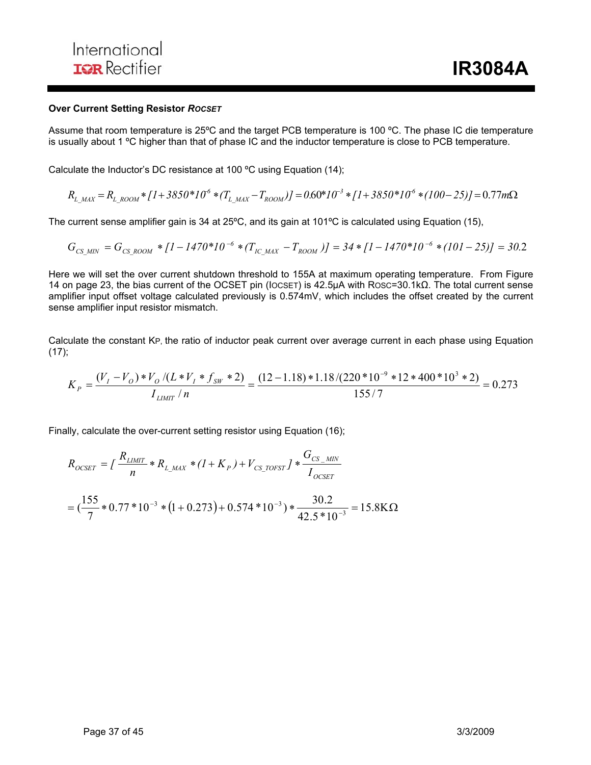#### **Over Current Setting Resistor** *ROCSET*

Assume that room temperature is 25ºC and the target PCB temperature is 100 ºC. The phase IC die temperature is usually about 1 ºC higher than that of phase IC and the inductor temperature is close to PCB temperature.

Calculate the Inductor's DC resistance at 100 ºC using Equation (14);

$$
R_{L\_MAX} = R_{L\_ROM} * [1 + 3850 * 10^6 * (T_{L\_MAX} - T_{ROM})] = 0.60 * 10^{-3} * [1 + 3850 * 10^6 * (100 - 25)] = 0.77 m\Omega
$$

The current sense amplifier gain is 34 at 25ºC, and its gain at 101ºC is calculated using Equation (15),

$$
G_{CS\_MIN} = G_{CS\_ROOM} * [1 - 1470 * 10^{-6} * (T_{IC\_MAX} - T_{ROOM})] = 34 * [1 - 1470 * 10^{-6} * (101 - 25)] = 30.2
$$

Here we will set the over current shutdown threshold to 155A at maximum operating temperature. From Figure 14 on page 23, the bias current of the OCSET pin (IOCSET) is 42.5µA with ROSC=30.1kΩ. The total current sense amplifier input offset voltage calculated previously is 0.574mV, which includes the offset created by the current sense amplifier input resistor mismatch.

Calculate the constant KP, the ratio of inductor peak current over average current in each phase using Equation  $(17)$ ;

$$
K_P = \frac{(V_I - V_O) * V_O / (L * V_I * f_{SW} * 2)}{I_{LIMIT}/n} = \frac{(12 - 1.18) * 1.18 / (220 * 10^{-9} * 12 * 400 * 10^3 * 2)}{155 / 7} = 0.273
$$

Finally, calculate the over-current setting resistor using Equation (16);

$$
R_{OCSET} = \int \frac{R_{LMIT}}{n} * R_{L\_MAX} * (1 + K_P) + V_{CS\_TOFST} \int * \frac{G_{CS\_MIN}}{I_{OCSET}}
$$
  
=  $(\frac{155}{7} * 0.77 * 10^{-3} * (1 + 0.273) + 0.574 * 10^{-3}) * \frac{30.2}{42.5 * 10^{-3}} = 15.8 \text{K} \Omega$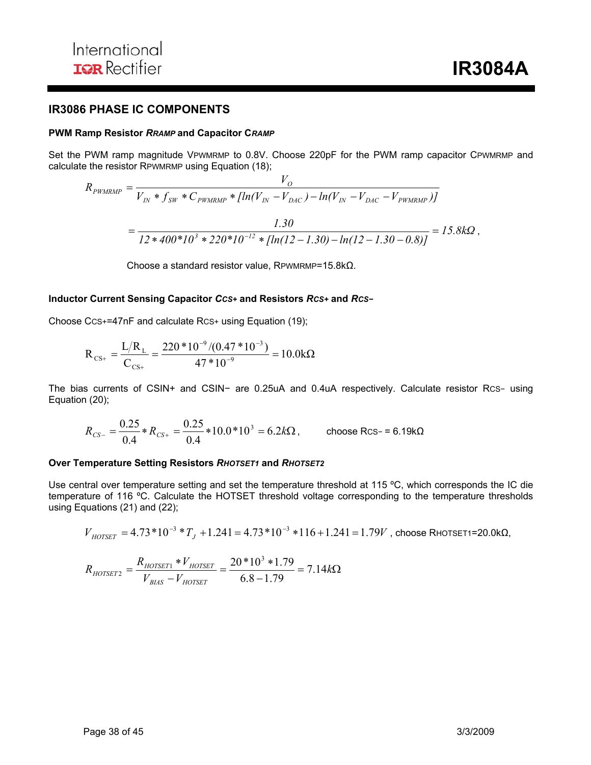### **IR3086 PHASE IC COMPONENTS**

#### **PWM Ramp Resistor** *RRAMP* **and Capacitor C***RAMP*

Set the PWM ramp magnitude VPWMRMP to 0.8V. Choose 220pF for the PWM ramp capacitor CPWMRMP and calculate the resistor RPWMRMP using Equation (18);

$$
R_{\text{PWMRMP}} = \frac{V_O}{V_{IN} * f_{SW} * C_{\text{PWMRMP}} * [ln(V_{IN} - V_{DAC}) - ln(V_{IN} - V_{DAC} - V_{\text{PWMRMP}})]}
$$
  
= 
$$
\frac{1.30}{12 * 400 * 10^3 * 220 * 10^{-12} * [ln(12 - 1.30) - ln(12 - 1.30 - 0.8)]} = 15.8 k\Omega,
$$

Choose a standard resistor value, RPWMRMP=15.8kΩ.

#### **Inductor Current Sensing Capacitor** *CCS+* **and Resistors** *RCS+* **and** *RCS−*

Choose CCS+=47nF and calculate RCS+ using Equation (19);

$$
R_{\text{CS+}} = \frac{L/R_{\text{L}}}{C_{\text{CS+}}} = \frac{220 * 10^{-9} / (0.47 * 10^{-3})}{47 * 10^{-9}} = 10.0 \text{k}\Omega
$$

The bias currents of CSIN+ and CSIN− are 0.25uA and 0.4uA respectively. Calculate resistor RCS− using Equation (20);

$$
R_{CS-} = \frac{0.25}{0.4} * R_{CS+} = \frac{0.25}{0.4} * 10.0 * 10^3 = 6.2 k\Omega, \qquad \text{choose RCS-} = 6.19 k\Omega
$$

#### **Over Temperature Setting Resistors** *RHOTSET1* **and** *RHOTSET2*

Use central over temperature setting and set the temperature threshold at 115 °C, which corresponds the IC die temperature of 116 ºC. Calculate the HOTSET threshold voltage corresponding to the temperature thresholds using Equations (21) and (22);

$$
V_{HOTSET} = 4.73*10^{-3}*T_J + 1.241 = 4.73*10^{-3}*116+1.241 = 1.79V
$$
, choose RHOTSET1=20.0 k $\Omega$ ,

$$
R_{HOTSET2} = \frac{R_{HOTSET1} * V_{HOTSET}}{V_{BIAS} - V_{HOTSET}} = \frac{20 * 10^3 * 1.79}{6.8 - 1.79} = 7.14 k\Omega
$$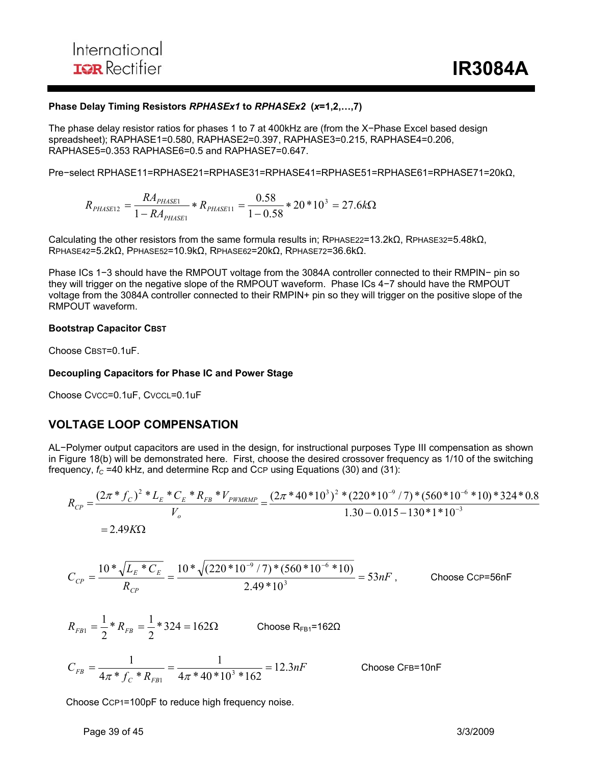#### **Phase Delay Timing Resistors** *RPHASEx1* **to** *RPHASEx2* **(***x***=1,2,…,7)**

The phase delay resistor ratios for phases 1 to 7 at 400kHz are (from the X−Phase Excel based design spreadsheet); RAPHASE1=0.580, RAPHASE2=0.397, RAPHASE3=0.215, RAPHASE4=0.206, RAPHASE5=0.353 RAPHASE6=0.5 and RAPHASE7=0.647.

Pre−select RPHASE11=RPHASE21=RPHASE31=RPHASE41=RPHASE51=RPHASE61=RPHASE71=20kΩ,

 $R_{PHASE1}$  \*  $R_{PHASE11}$  =  $\frac{0.56}{1-0.58}$  \*  $20$  \*  $10^3$  = 27.6k $\Omega$  $R_{PHASE12} = \frac{RA_{PHASE1}}{1 - R_A} * R_{PHASE}$ *PHASE*  $P_{HASE12} = \frac{KAP_{PHASE1}}{1 - RA_{PHASE1}} * R_{PHASE11} = \frac{0.36}{1 - 0.58} * 20 * 10^3 = 27.6$ 0.58 1 3 11 1  $_{12} = \frac{124 \text{ P} \mu_{ASE1}}{1 \cdot 24 \cdot 1}$ 

Calculating the other resistors from the same formula results in; RPHASE22=13.2kΩ, RPHASE32=5.48kΩ, RPHASE42=5.2kΩ, PPHASE52=10.9kΩ, RPHASE62=20kΩ, RPHASE72=36.6kΩ.

Phase ICs 1−3 should have the RMPOUT voltage from the 3084A controller connected to their RMPIN− pin so they will trigger on the negative slope of the RMPOUT waveform. Phase ICs 4−7 should have the RMPOUT voltage from the 3084A controller connected to their RMPIN+ pin so they will trigger on the positive slope of the RMPOUT waveform.

#### **Bootstrap Capacitor CBST**

Choose CBST=0.1uF.

#### **Decoupling Capacitors for Phase IC and Power Stage**

Choose CVCC=0.1uF, CVCCL=0.1uF

## **VOLTAGE LOOP COMPENSATION**

AL−Polymer output capacitors are used in the design, for instructional purposes Type III compensation as shown in Figure 18(b) will be demonstrated here. First, choose the desired crossover frequency as 1/10 of the switching frequency,  $f_C$  =40 kHz, and determine Rcp and CcP using Equations (30) and (31):

$$
R_{CP} = \frac{(2\pi * f_C)^2 * L_E * C_E * R_{FB} * V_{PWMRMP}}{V_o} = \frac{(2\pi * 40 * 10^3)^2 * (220 * 10^{-9} / 7) * (560 * 10^{-6} * 10) * 324 * 0.8}{1.30 - 0.015 - 130 * 1 * 10^{-3}}
$$
  
= 2.49KΩ

$$
C_{CP} = \frac{10 \cdot \sqrt{L_E \cdot ^\ast C_E}}{R_{CP}} = \frac{10 \cdot \sqrt{(220 \cdot 10^{-9} / 7) \cdot ^\ast (560 \cdot 10^{-6} \cdot 10)}}{2.49 \cdot 10^3} = 53 nF
$$
, Choose CCP=56nF

$$
R_{FB1} = \frac{1}{2} * R_{FB} = \frac{1}{2} * 324 = 162\Omega
$$
 Choose  $R_{FB1} = 162\Omega$   

$$
C_{FB} = \frac{1}{4\pi * f_C * R_{FB1}} = \frac{1}{4\pi * 40 * 10^3 * 162} = 12.3nF
$$
 Cho

ose CFB=10nF

Choose CCP1=100pF to reduce high frequency noise.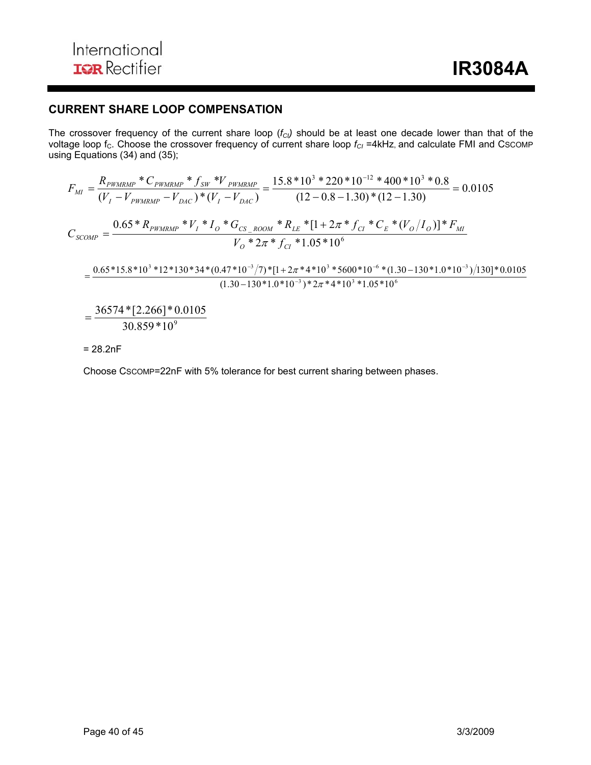## **CURRENT SHARE LOOP COMPENSATION**

The crossover frequency of the current share loop ( $f<sub>Cl</sub>$ ) should be at least one decade lower than that of the voltage loop f<sub>C</sub>. Choose the crossover frequency of current share loop  $f_{Cl}$  =4kHz, and calculate FMI and CSCOMP using Equations (34) and (35);

$$
F_{MI} = \frac{R_{PWMRMP} * C_{PWMRMP} * f_{SW} * V_{PWMRMP}}{(V_I - V_{PWMRMP} - V_{DAC}) * (V_I - V_{DAC})} = \frac{15.8 * 10^3 * 220 * 10^{-12} * 400 * 10^3 * 0.8}{(12 - 0.8 - 1.30) * (12 - 1.30)} = 0.0105
$$
  

$$
C_{SCOMP} = \frac{0.65 * R_{PWMRMP} * V_I * I_0 * G_{CS\_ROOM} * R_{LE} * [1 + 2\pi * f_{CI} * C_E * (V_O/I_O)] * F_{MI}}{V_O * 2\pi * f_{CI} * 1.05 * 10^6}
$$
  

$$
= \frac{0.65 * 15.8 * 10^3 * 12 * 130 * 34 * (0.47 * 10^{-3}/7) * [1 + 2\pi * 4 * 10^3 * 5600 * 10^{-6} * (1.30 - 130 * 1.0 * 10^{-3})/130] * 0.0105}{(1.30 - 130 * 1.0 * 10^{-3}) * 2\pi * 4 * 10^3 * 1.05 * 10^6}
$$
  

$$
= \frac{36574 * [2.266] * 0.0105}{8.0105}
$$

 $30.859*10^{9}$ 

= 28.2nF

Choose CSCOMP=22nF with 5% tolerance for best current sharing between phases.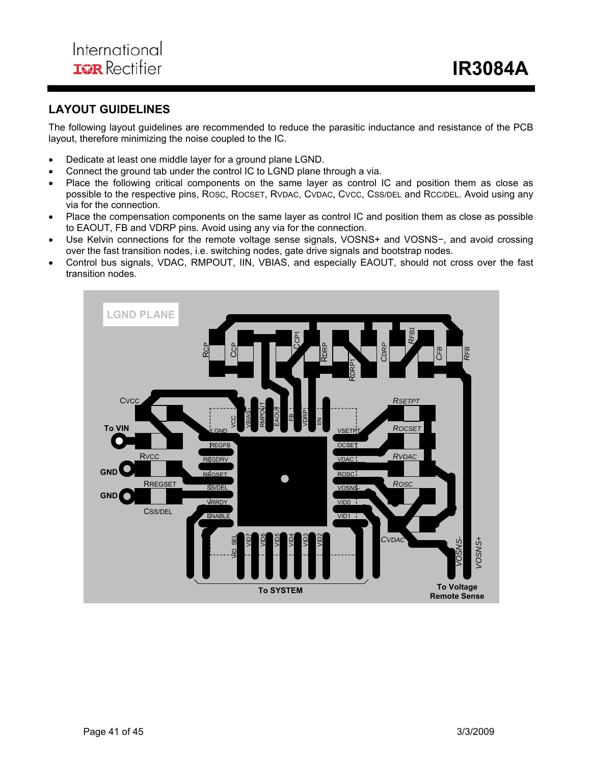## **LAYOUT GUIDELINES**

The following layout guidelines are recommended to reduce the parasitic inductance and resistance of the PCB layout, therefore minimizing the noise coupled to the IC.

- Dedicate at least one middle layer for a ground plane LGND.
- Connect the ground tab under the control IC to LGND plane through a via.
- Place the following critical components on the same layer as control IC and position them as close as possible to the respective pins, ROSC, ROCSET, RVDAC, CVDAC, CVCC, CSS/DEL and RCC/DEL. Avoid using any via for the connection.
- Place the compensation components on the same layer as control IC and position them as close as possible to EAOUT, FB and VDRP pins. Avoid using any via for the connection.
- Use Kelvin connections for the remote voltage sense signals, VOSNS+ and VOSNS−, and avoid crossing over the fast transition nodes, i.e. switching nodes, gate drive signals and bootstrap nodes.
- Control bus signals, VDAC, RMPOUT, IIN, VBIAS, and especially EAOUT, should not cross over the fast transition nodes.

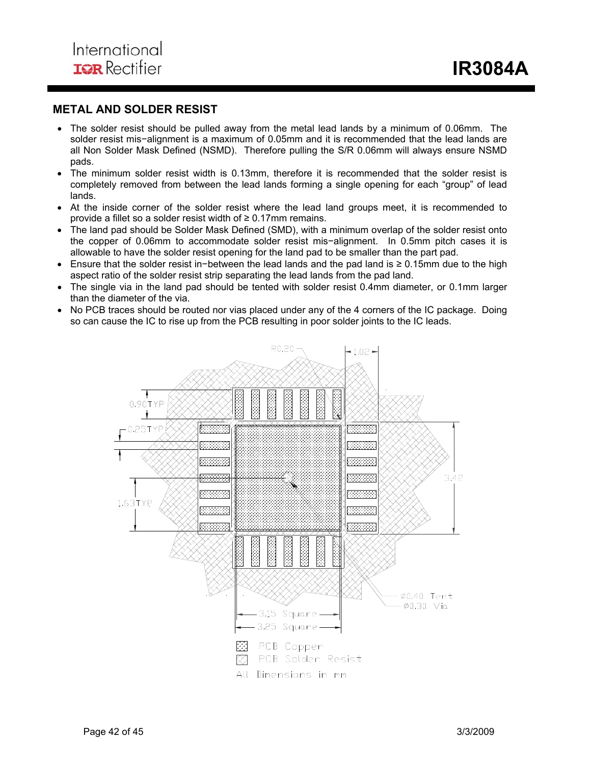## **METAL AND SOLDER RESIST**

- The solder resist should be pulled away from the metal lead lands by a minimum of 0.06mm. The solder resist mis−alignment is a maximum of 0.05mm and it is recommended that the lead lands are all Non Solder Mask Defined (NSMD). Therefore pulling the S/R 0.06mm will always ensure NSMD pads.
- The minimum solder resist width is 0.13mm, therefore it is recommended that the solder resist is completely removed from between the lead lands forming a single opening for each "group" of lead lands.
- At the inside corner of the solder resist where the lead land groups meet, it is recommended to provide a fillet so a solder resist width of  $\geq 0.17$ mm remains.
- The land pad should be Solder Mask Defined (SMD), with a minimum overlap of the solder resist onto the copper of 0.06mm to accommodate solder resist mis−alignment. In 0.5mm pitch cases it is allowable to have the solder resist opening for the land pad to be smaller than the part pad.
- Ensure that the solder resist in−between the lead lands and the pad land is ≥ 0.15mm due to the high aspect ratio of the solder resist strip separating the lead lands from the pad land.
- The single via in the land pad should be tented with solder resist 0.4mm diameter, or 0.1mm larger than the diameter of the via.
- No PCB traces should be routed nor vias placed under any of the 4 corners of the IC package. Doing so can cause the IC to rise up from the PCB resulting in poor solder joints to the IC leads.

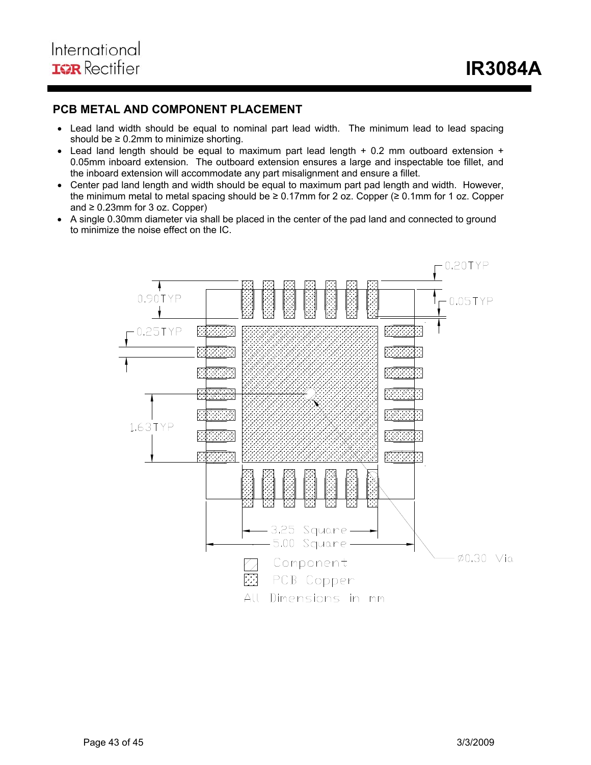## **PCB METAL AND COMPONENT PLACEMENT**

- Lead land width should be equal to nominal part lead width. The minimum lead to lead spacing should be  $\geq 0.2$ mm to minimize shorting.
- Lead land length should be equal to maximum part lead length + 0.2 mm outboard extension + 0.05mm inboard extension. The outboard extension ensures a large and inspectable toe fillet, and the inboard extension will accommodate any part misalignment and ensure a fillet.
- Center pad land length and width should be equal to maximum part pad length and width. However, the minimum metal to metal spacing should be ≥ 0.17mm for 2 oz. Copper (≥ 0.1mm for 1 oz. Copper and  $\geq 0.23$ mm for 3 oz. Copper)
- A single 0.30mm diameter via shall be placed in the center of the pad land and connected to ground to minimize the noise effect on the IC.

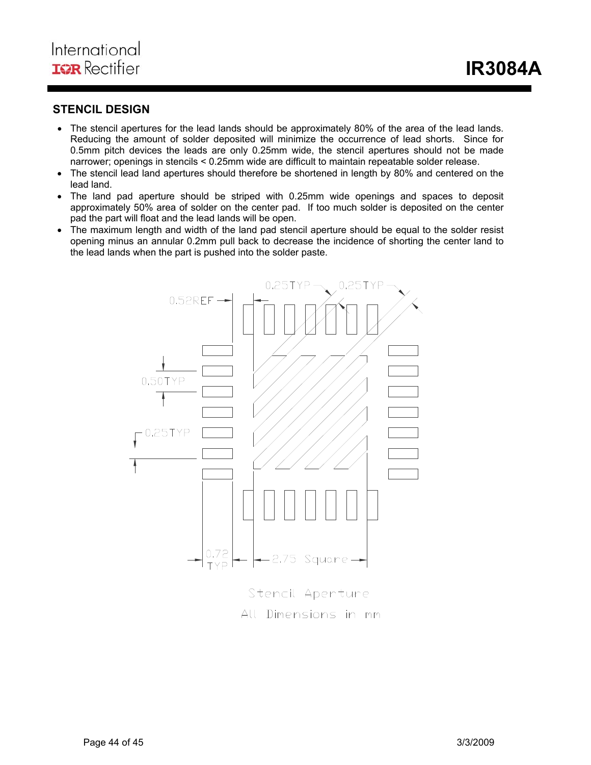## **STENCIL DESIGN**

- The stencil apertures for the lead lands should be approximately 80% of the area of the lead lands. Reducing the amount of solder deposited will minimize the occurrence of lead shorts. Since for 0.5mm pitch devices the leads are only 0.25mm wide, the stencil apertures should not be made narrower; openings in stencils < 0.25mm wide are difficult to maintain repeatable solder release.
- The stencil lead land apertures should therefore be shortened in length by 80% and centered on the lead land.
- The land pad aperture should be striped with 0.25mm wide openings and spaces to deposit approximately 50% area of solder on the center pad. If too much solder is deposited on the center pad the part will float and the lead lands will be open.
- The maximum length and width of the land pad stencil aperture should be equal to the solder resist opening minus an annular 0.2mm pull back to decrease the incidence of shorting the center land to the lead lands when the part is pushed into the solder paste.



All Dimensions in mm